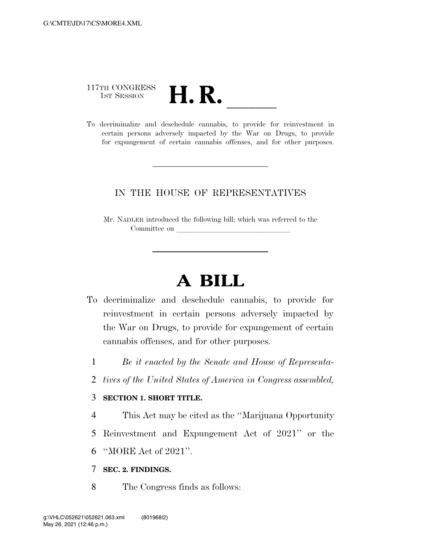# 117TH CONGRESS 117TH CONGRESS<br>1st SESSION<br>To decriminalize and deschedule cannabis, to provide for reinvestment in

certain persons adversely impacted by the War on Drugs, to provide for expungement of certain cannabis offenses, and for other purposes.

#### IN THE HOUSE OF REPRESENTATIVES

Mr. NADLER introduced the following bill; which was referred to the Committee on

## **A BILL**

- To decriminalize and deschedule cannabis, to provide for reinvestment in certain persons adversely impacted by the War on Drugs, to provide for expungement of certain cannabis offenses, and for other purposes.
	- 1 *Be it enacted by the Senate and House of Representa-*
	- 2 *tives of the United States of America in Congress assembled,*

#### 3 **SECTION 1. SHORT TITLE.**

- 4 This Act may be cited as the ''Marijuana Opportunity
- 5 Reinvestment and Expungement Act of 2021'' or the
- 6 ''MORE Act of 2021''.

#### 7 **SEC. 2. FINDINGS.**

8 The Congress finds as follows: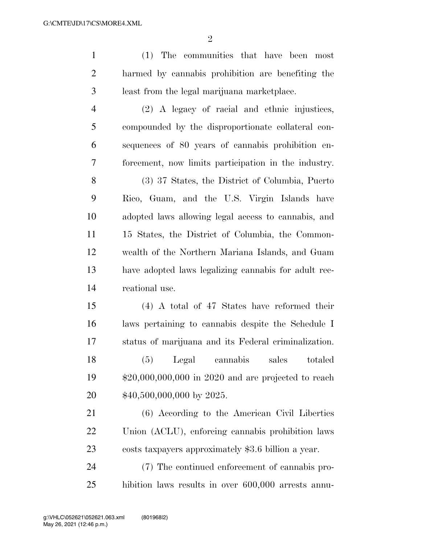| $\mathbf{1}$   | (1) The communities that have been<br>most            |
|----------------|-------------------------------------------------------|
| $\overline{2}$ | harmed by cannabis prohibition are benefiting the     |
| 3              | least from the legal marijuana marketplace.           |
| $\overline{4}$ | (2) A legacy of racial and ethnic injustices,         |
| 5              | compounded by the disproportionate collateral con-    |
| 6              | sequences of 80 years of cannabis prohibition en-     |
| 7              | forcement, now limits participation in the industry.  |
| 8              | (3) 37 States, the District of Columbia, Puerto       |
| 9              | Rico, Guam, and the U.S. Virgin Islands have          |
| 10             | adopted laws allowing legal access to cannabis, and   |
| 11             | 15 States, the District of Columbia, the Common-      |
| 12             | wealth of the Northern Mariana Islands, and Guam      |
| 13             | have adopted laws legalizing cannabis for a dult rec- |
| 14             | reational use.                                        |
| 15             | $(4)$ A total of 47 States have reformed their        |
| 16             | laws pertaining to cannabis despite the Schedule I    |
| 17             | status of marijuana and its Federal criminalization.  |
| 18             | (5) Legal cannabis sales totaled                      |
| 19             | $$20,000,000,000$ in 2020 and are projected to reach  |
| 20             | $$40,500,000,000$ by 2025.                            |
| 21             | (6) According to the American Civil Liberties         |
| 22             | Union (ACLU), enforcing cannabis prohibition laws     |

costs taxpayers approximately \$3.6 billion a year.

 (7) The continued enforcement of cannabis pro-hibition laws results in over 600,000 arrests annu-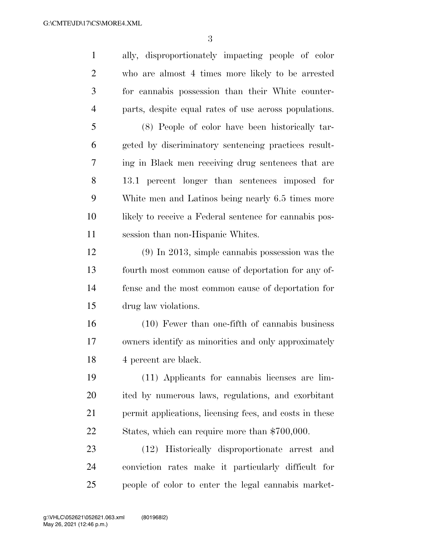ally, disproportionately impacting people of color who are almost 4 times more likely to be arrested for cannabis possession than their White counter- parts, despite equal rates of use across populations. (8) People of color have been historically tar- geted by discriminatory sentencing practices result- ing in Black men receiving drug sentences that are 13.1 percent longer than sentences imposed for White men and Latinos being nearly 6.5 times more likely to receive a Federal sentence for cannabis pos- session than non-Hispanic Whites. (9) In 2013, simple cannabis possession was the fourth most common cause of deportation for any of- fense and the most common cause of deportation for drug law violations. (10) Fewer than one-fifth of cannabis business owners identify as minorities and only approximately 4 percent are black. (11) Applicants for cannabis licenses are lim- ited by numerous laws, regulations, and exorbitant permit applications, licensing fees, and costs in these States, which can require more than \$700,000. (12) Historically disproportionate arrest and conviction rates make it particularly difficult for people of color to enter the legal cannabis market-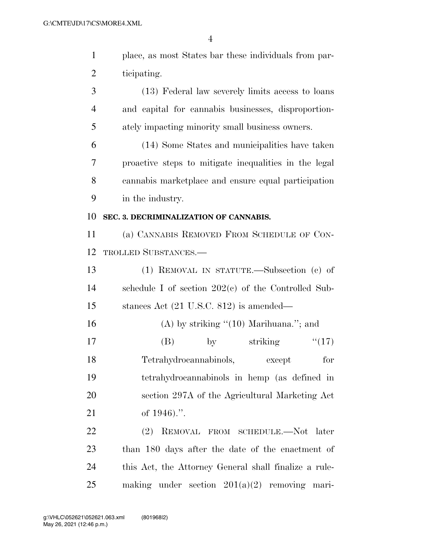| $\mathbf{1}$   | place, as most States bar these individuals from par- |
|----------------|-------------------------------------------------------|
| $\overline{2}$ | ticipating.                                           |
| 3              | (13) Federal law severely limits access to loans      |
| $\overline{4}$ | and capital for cannabis businesses, disproportion-   |
| 5              | ately impacting minority small business owners.       |
| 6              | (14) Some States and municipalities have taken        |
| 7              | proactive steps to mitigate inequalities in the legal |
| 8              | cannabis marketplace and ensure equal participation   |
| 9              | in the industry.                                      |
| 10             | SEC. 3. DECRIMINALIZATION OF CANNABIS.                |
| 11             | (a) CANNABIS REMOVED FROM SCHEDULE OF CON-            |
| 12             | <b>TROLLED SUBSTANCES.—</b>                           |
| 13             | (1) REMOVAL IN STATUTE.—Subsection (c) of             |
| 14             | schedule I of section $202(e)$ of the Controlled Sub- |
| 15             | stances Act $(21 \text{ U.S.C. } 812)$ is amended—    |
| 16             | $(A)$ by striking " $(10)$ Marihuana."; and           |
| 17             | striking<br>(17)<br>(B)<br>$\mathbf{by}$              |
| 18             | Tetrahydrocannabinols,<br>for<br>except               |
| 19             | tetrahydrocannabinols in hemp (as defined in          |
| 20             | section 297A of the Agricultural Marketing Act        |
| 21             | of $1946$ .".                                         |
| 22             | (2)<br>REMOVAL FROM SCHEDULE.—Not later               |
| 23             | than 180 days after the date of the enactment of      |
| 24             | this Act, the Attorney General shall finalize a rule- |

making under section 201(a)(2) removing mari-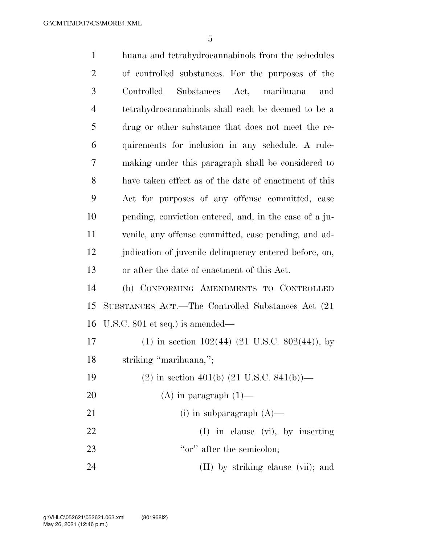| $\mathbf{1}$   | huana and tetrahydrocannabinols from the schedules      |
|----------------|---------------------------------------------------------|
| $\overline{2}$ | of controlled substances. For the purposes of the       |
| 3              | Controlled<br>Substances Act, marihuana<br>and          |
| $\overline{4}$ | tetrahydrocannabinols shall each be deemed to be a      |
| 5              | drug or other substance that does not meet the re-      |
| 6              | quirements for inclusion in any schedule. A rule-       |
| 7              | making under this paragraph shall be considered to      |
| 8              | have taken effect as of the date of enactment of this   |
| 9              | Act for purposes of any offense committed, case         |
| 10             | pending, conviction entered, and, in the case of a ju-  |
| 11             | venile, any offense committed, case pending, and ad-    |
| 12             | judication of juvenile delinquency entered before, on,  |
| 13             | or after the date of enactment of this Act.             |
| 14             | (b) CONFORMING AMENDMENTS TO CONTROLLED                 |
| 15             | SUBSTANCES ACT.—The Controlled Substances Act (21)      |
| 16             | U.S.C. $801$ et seq.) is amended—                       |
| 17             | $(1)$ in section 102(44) (21 U.S.C. 802(44)), by        |
| 18             | striking "marihuana,";                                  |
| 19             | $(2)$ in section 401(b) $(21 \text{ U.S.C. } 841(b))$ — |
| 20             | $(A)$ in paragraph $(1)$ —                              |
| 21             | (i) in subparagraph $(A)$ —                             |
| 22             | $(I)$ in clause $(vi)$ , by inserting                   |
| 23             | "or" after the semicolon;                               |
| 24             | (II) by striking clause (vii); and                      |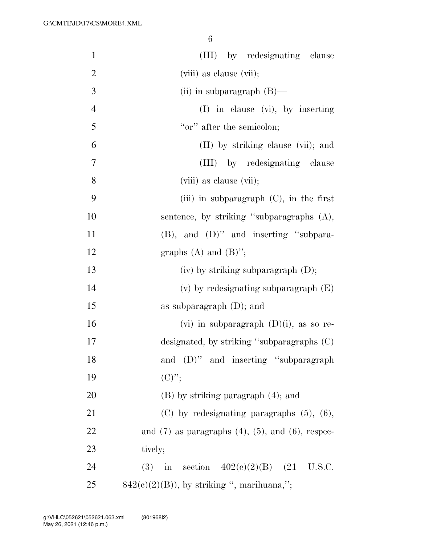| $\mathbf{1}$   | (III) by redesignating clause                               |
|----------------|-------------------------------------------------------------|
| $\overline{2}$ | (viii) as clause (vii);                                     |
| $\mathfrak{Z}$ | (ii) in subparagraph $(B)$ —                                |
| $\overline{4}$ | $(I)$ in clause $(vi)$ , by inserting                       |
| 5              | "or" after the semicolon;                                   |
| 6              | (II) by striking clause (vii); and                          |
| $\tau$         | (III) by redesignating clause                               |
| 8              | (viii) as clause (vii);                                     |
| 9              | (iii) in subparagraph $(C)$ , in the first                  |
| 10             | sentence, by striking "subparagraphs (A),                   |
| 11             | $(B)$ , and $(D)$ " and inserting "subpara-                 |
| 12             | graphs $(A)$ and $(B)$ ";                                   |
| 13             | $(iv)$ by striking subparagraph $(D)$ ;                     |
| 14             | $(v)$ by redesignating subparagraph $(E)$                   |
| 15             | as subparagraph $(D)$ ; and                                 |
| 16             | (vi) in subparagraph $(D)(i)$ , as so re-                   |
| 17             | designated, by striking "subparagraphs (C)                  |
| 18             | and (D)" and inserting "subparagraph                        |
| 19             | $(C)$ ";                                                    |
| 20             | $(B)$ by striking paragraph $(4)$ ; and                     |
| 21             | $(C)$ by redesignating paragraphs $(5)$ , $(6)$ ,           |
| 22             | and $(7)$ as paragraphs $(4)$ , $(5)$ , and $(6)$ , respec- |
| 23             | tively;                                                     |
| 24             | in section $402(e)(2)(B)$ (21 U.S.C.<br><b>(3)</b>          |
| 25             | $842(c)(2)(B)$ , by striking ", marihuana,";                |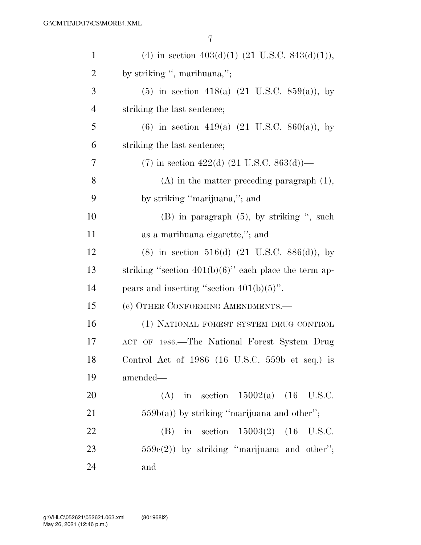| $\mathbf{1}$   | (4) in section $403(d)(1)$ (21 U.S.C. 843(d)(1)),          |
|----------------|------------------------------------------------------------|
| $\overline{2}$ | by striking ", marihuana,";                                |
| 3              | $(5)$ in section 418(a) $(21 \text{ U.S.C. } 859(a))$ , by |
| $\overline{4}$ | striking the last sentence;                                |
| 5              | (6) in section 419(a) $(21 \text{ U.S.C. } 860(a))$ , by   |
| 6              | striking the last sentence;                                |
| 7              | $(7)$ in section 422(d) (21 U.S.C. 863(d))—                |
| 8              | $(A)$ in the matter preceding paragraph $(1)$ ,            |
| 9              | by striking "marijuana,"; and                              |
| 10             | $(B)$ in paragraph $(5)$ , by striking ", such             |
| 11             | as a marihuana eigarette,"; and                            |
| 12             | $(8)$ in section 516(d) $(21 \text{ U.S.C. } 886(d))$ , by |
| 13             | striking "section $401(b)(6)$ " each place the term ap-    |
| 14             | pears and inserting "section $401(b)(5)$ ".                |
| 15             | (c) OTHER CONFORMING AMENDMENTS.-                          |
| 16             | (1) NATIONAL FOREST SYSTEM DRUG CONTROL                    |
| 17             | ACT OF 1986.—The National Forest System Drug               |
| 18             | Control Act of 1986 (16 U.S.C. 559b et seq.) is            |
| 19             | amended—                                                   |
| 20             | (A) in section $15002(a)$ (16 U.S.C.                       |
| 21             | $559b(a)$ ) by striking "marijuana and other";             |
| 22             | (B) in section $15003(2)$ (16 U.S.C.                       |
| 23             | $559e(2)$ ) by striking "marijuana and other";             |
| 24             | and                                                        |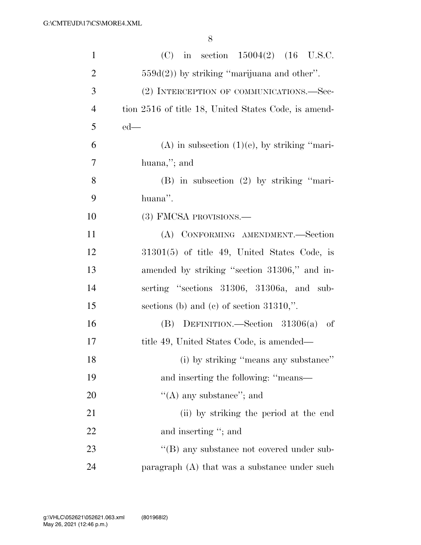| $\mathbf{1}$   | (C) in section $15004(2)$ (16 U.S.C.                 |
|----------------|------------------------------------------------------|
| $\overline{2}$ | $559d(2)$ ) by striking "marijuana and other".       |
| 3              | (2) INTERCEPTION OF COMMUNICATIONS.—Sec-             |
| $\overline{4}$ | tion 2516 of title 18, United States Code, is amend- |
| 5              | $ed$ —                                               |
| 6              | $(A)$ in subsection $(1)(e)$ , by striking "mari-    |
| 7              | huana,"; and                                         |
| 8              | $(B)$ in subsection $(2)$ by striking "mari-         |
| 9              | huana".                                              |
| 10             | (3) FMCSA PROVISIONS.—                               |
| 11             | (A) CONFORMING AMENDMENT.-Section                    |
| 12             | $31301(5)$ of title 49, United States Code, is       |
| 13             | amended by striking "section 31306," and in-         |
| 14             | serting "sections 31306, 31306a, and sub-            |
| 15             | sections (b) and (c) of section $31310$ ,".          |
| 16             | (B) DEFINITION.—Section $31306(a)$ of                |
| 17             | title 49, United States Code, is amended—            |
| 18             | (i) by striking "means any substance"                |
| 19             | and inserting the following: "means—                 |
| 20             | $\lq\lq$ (A) any substance"; and                     |
| 21             | (ii) by striking the period at the end               |
| 22             | and inserting "; and                                 |
| 23             | $\lq\lq$ (B) any substance not covered under sub-    |
| 24             | paragraph (A) that was a substance under such        |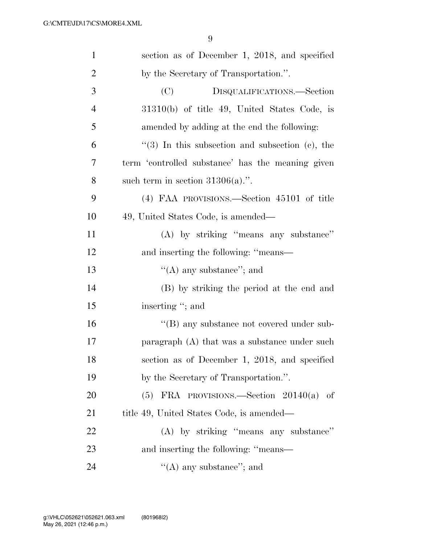| $\mathbf{1}$   | section as of December 1, 2018, and specified     |
|----------------|---------------------------------------------------|
| $\overline{2}$ | by the Secretary of Transportation.".             |
| 3              | (C)<br>DISQUALIFICATIONS.-Section                 |
| $\overline{4}$ | $31310(b)$ of title 49, United States Code, is    |
| 5              | amended by adding at the end the following:       |
| 6              | $(3)$ In this subsection and subsection (c), the  |
| 7              | term 'controlled substance' has the meaning given |
| 8              | such term in section $31306(a)$ .".               |
| 9              | (4) FAA PROVISIONS.—Section 45101 of title        |
| 10             | 49, United States Code, is amended—               |
| 11             | (A) by striking "means any substance"             |
| 12             | and inserting the following: "means—              |
| 13             | "(A) any substance"; and                          |
| 14             | (B) by striking the period at the end and         |
| 15             | inserting "; and                                  |
| 16             | "(B) any substance not covered under sub-         |
| 17             | paragraph (A) that was a substance under such     |
| 18             | section as of December 1, 2018, and specified     |
| 19             | by the Secretary of Transportation.".             |
| 20             | $(5)$ FRA PROVISIONS.—Section 20140(a) of         |
| 21             | title 49, United States Code, is amended—         |
| 22             | (A) by striking "means any substance"             |
| 23             | and inserting the following: "means—              |
| 24             | $\lq\lq$ (A) any substance"; and                  |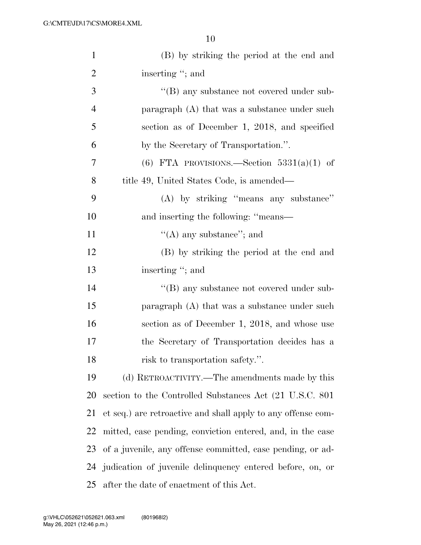| $\mathbf{1}$   | (B) by striking the period at the end and                    |
|----------------|--------------------------------------------------------------|
| $\overline{2}$ | inserting "; and                                             |
| 3              | "(B) any substance not covered under sub-                    |
| $\overline{4}$ | paragraph (A) that was a substance under such                |
| 5              | section as of December 1, 2018, and specified                |
| 6              | by the Secretary of Transportation.".                        |
| 7              | (6) FTA PROVISIONS.—Section $5331(a)(1)$ of                  |
| 8              | title 49, United States Code, is amended—                    |
| 9              | (A) by striking "means any substance"                        |
| 10             | and inserting the following: "means—                         |
| 11             | "(A) any substance"; and                                     |
| 12             | (B) by striking the period at the end and                    |
| 13             | inserting "; and                                             |
| 14             | $\lq\lq (B)$ any substance not covered under sub-            |
| 15             | paragraph $(A)$ that was a substance under such              |
| 16             | section as of December 1, 2018, and whose use                |
| 17             | the Secretary of Transportation decides has a                |
| 18             | risk to transportation safety.".                             |
| 19             | (d) RETROACTIVITY.—The amendments made by this               |
| 20             | section to the Controlled Substances Act (21 U.S.C. 801)     |
| 21             | et seq.) are retroactive and shall apply to any offense com- |
| 22             | mitted, case pending, conviction entered, and, in the case   |
| 23             | of a juvenile, any offense committed, case pending, or ad-   |
| 24             | judication of juvenile delinquency entered before, on, or    |
| 25             | after the date of enactment of this Act.                     |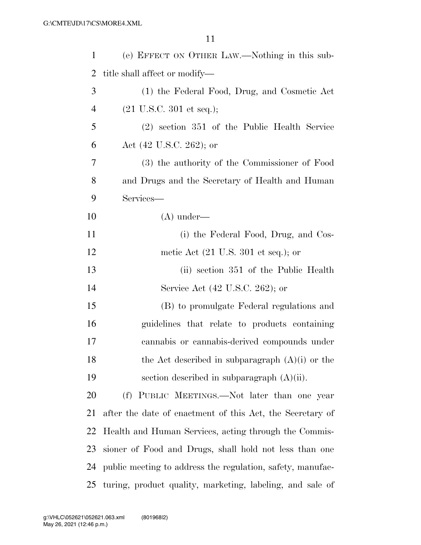| $\mathbf 1$    | (e) EFFECT ON OTHER LAW.—Nothing in this sub-              |
|----------------|------------------------------------------------------------|
| 2              | title shall affect or modify—                              |
| 3              | (1) the Federal Food, Drug, and Cosmetic Act               |
| $\overline{4}$ | $(21 \text{ U.S.C. } 301 \text{ et seq.});$                |
| 5              | (2) section 351 of the Public Health Service               |
| 6              | Act $(42 \text{ U.S.C. } 262)$ ; or                        |
| 7              | (3) the authority of the Commissioner of Food              |
| 8              | and Drugs and the Secretary of Health and Human            |
| 9              | Services-                                                  |
| 10             | $(A)$ under—                                               |
| 11             | (i) the Federal Food, Drug, and Cos-                       |
| 12             | metic Act $(21 \text{ U.S. } 301 \text{ et seq.});$ or     |
| 13             | (ii) section 351 of the Public Health                      |
| 14             | Service Act (42 U.S.C. 262); or                            |
| 15             | (B) to promulgate Federal regulations and                  |
| 16             | guidelines that relate to products containing              |
| 17             | cannabis or cannabis-derived compounds under               |
| 18             | the Act described in subparagraph $(A)(i)$ or the          |
| 19             | section described in subparagraph $(A)(ii)$ .              |
| 20             | (f) PUBLIC MEETINGS.—Not later than one year               |
| 21             | after the date of enactment of this Act, the Secretary of  |
| 22             | Health and Human Services, acting through the Commis-      |
| 23             | sioner of Food and Drugs, shall hold not less than one     |
| 24             | public meeting to address the regulation, safety, manufac- |
| 25             | turing, product quality, marketing, labeling, and sale of  |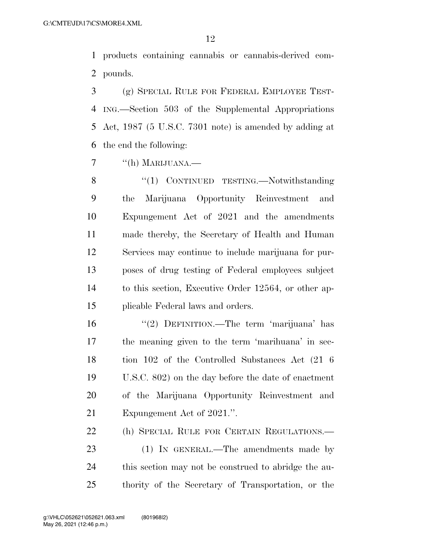products containing cannabis or cannabis-derived com-pounds.

 (g) SPECIAL RULE FOR FEDERAL EMPLOYEE TEST- ING.—Section 503 of the Supplemental Appropriations Act, 1987 (5 U.S.C. 7301 note) is amended by adding at the end the following:

7 "(h) MARIJUANA.—

8 "(1) CONTINUED TESTING.—Notwithstanding the Marijuana Opportunity Reinvestment and Expungement Act of 2021 and the amendments made thereby, the Secretary of Health and Human Services may continue to include marijuana for pur- poses of drug testing of Federal employees subject to this section, Executive Order 12564, or other ap-plicable Federal laws and orders.

16 "(2) DEFINITION.—The term 'marijuana' has the meaning given to the term 'marihuana' in sec- tion 102 of the Controlled Substances Act (21 6 U.S.C. 802) on the day before the date of enactment of the Marijuana Opportunity Reinvestment and Expungement Act of 2021.''.

(h) SPECIAL RULE FOR CERTAIN REGULATIONS.—

23 (1) IN GENERAL.—The amendments made by this section may not be construed to abridge the au-thority of the Secretary of Transportation, or the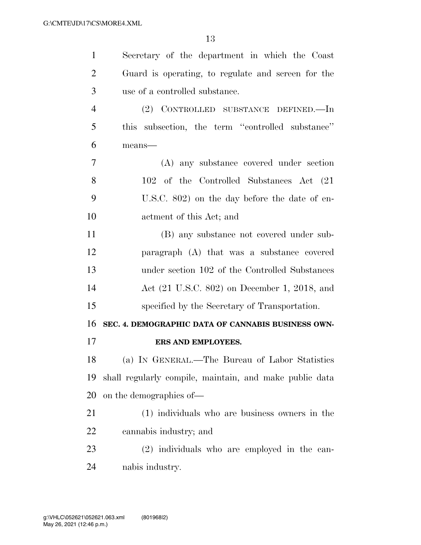| 1              | Secretary of the department in which the Coast          |
|----------------|---------------------------------------------------------|
| $\overline{2}$ | Guard is operating, to regulate and screen for the      |
| 3              | use of a controlled substance.                          |
| $\overline{4}$ | (2) CONTROLLED SUBSTANCE DEFINED.—In                    |
| 5              | this subsection, the term "controlled substance"        |
| 6              | means-                                                  |
| 7              | (A) any substance covered under section                 |
| 8              | 102 of the Controlled Substances Act (21)               |
| 9              | U.S.C. 802) on the day before the date of en-           |
| 10             | actment of this Act; and                                |
| 11             | (B) any substance not covered under sub-                |
| 12             | paragraph (A) that was a substance covered              |
| 13             | under section 102 of the Controlled Substances          |
| 14             | Act (21 U.S.C. 802) on December 1, 2018, and            |
| 15             | specified by the Secretary of Transportation.           |
| 16             | SEC. 4. DEMOGRAPHIC DATA OF CANNABIS BUSINESS OWN-      |
| 17             | ERS AND EMPLOYEES.                                      |
| 18             | (a) IN GENERAL.—The Bureau of Labor Statistics          |
| 19             | shall regularly compile, maintain, and make public data |
| 20             | on the demographics of—                                 |
| 21             | (1) individuals who are business owners in the          |
| 22             | cannabis industry; and                                  |
| 23             | (2) individuals who are employed in the can-            |
|                |                                                         |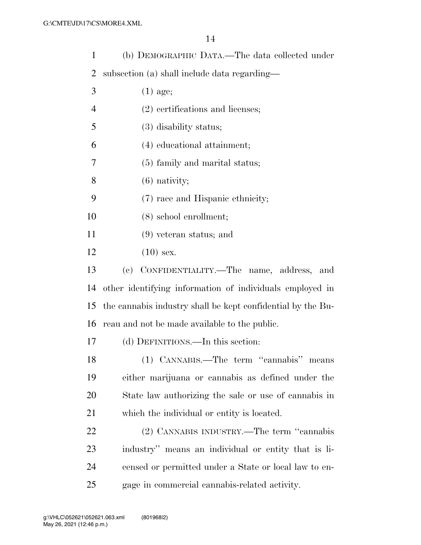| $\mathbf{1}$   | (b) DEMOGRAPHIC DATA.—The data collected under              |
|----------------|-------------------------------------------------------------|
| $\overline{2}$ | subsection (a) shall include data regarding—                |
| 3              | $(1)$ age;                                                  |
| $\overline{4}$ | $(2)$ certifications and licenses;                          |
| 5              | $(3)$ disability status;                                    |
| 6              | (4) educational attainment;                                 |
| 7              | (5) family and marital status;                              |
| 8              | $(6)$ nativity;                                             |
| 9              | (7) race and Hispanic ethnicity;                            |
| 10             | $(8)$ school enrollment;                                    |
| 11             | $(9)$ veteran status; and                                   |
| 12             | $(10)$ sex.                                                 |
| 13             | (c) CONFIDENTIALITY.—The name, address,<br>and              |
| 14             | other identifying information of individuals employed in    |
| 15             | the cannabis industry shall be kept confidential by the Bu- |
| 16             | reau and not be made available to the public.               |
| 17             | (d) DEFINITIONS.—In this section:                           |
| 18             | (1) CANNABIS.—The term "cannabis" means                     |
| 19             | either marijuana or cannabis as defined under the           |
| 20             | State law authorizing the sale or use of cannabis in        |
| 21             | which the individual or entity is located.                  |
| 22             | (2) CANNABIS INDUSTRY.—The term "cannabis"                  |
| 23             | industry" means an individual or entity that is li-         |
| 24             | censed or permitted under a State or local law to en-       |
| 25             | gage in commercial cannabis-related activity.               |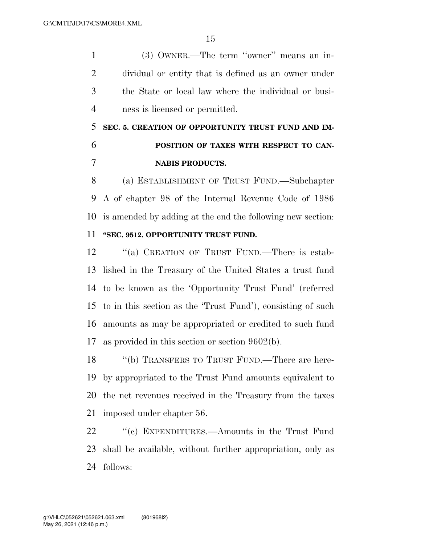(3) OWNER.—The term ''owner'' means an in- dividual or entity that is defined as an owner under the State or local law where the individual or busi-ness is licensed or permitted.

 **SEC. 5. CREATION OF OPPORTUNITY TRUST FUND AND IM- POSITION OF TAXES WITH RESPECT TO CAN-NABIS PRODUCTS.** 

 (a) ESTABLISHMENT OF TRUST FUND.—Subchapter A of chapter 98 of the Internal Revenue Code of 1986 is amended by adding at the end the following new section: **''SEC. 9512. OPPORTUNITY TRUST FUND.** 

12 "(a) CREATION OF TRUST FUND.—There is estab- lished in the Treasury of the United States a trust fund to be known as the 'Opportunity Trust Fund' (referred to in this section as the 'Trust Fund'), consisting of such amounts as may be appropriated or credited to such fund as provided in this section or section 9602(b).

18 "(b) TRANSFERS TO TRUST FUND.—There are here- by appropriated to the Trust Fund amounts equivalent to the net revenues received in the Treasury from the taxes imposed under chapter 56.

 ''(c) EXPENDITURES.—Amounts in the Trust Fund shall be available, without further appropriation, only as follows: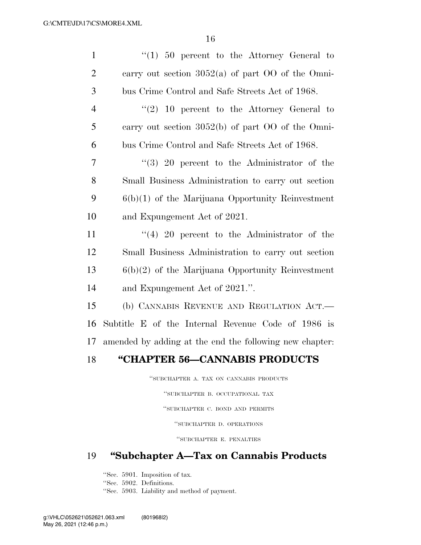| $\mathbf{1}$   | $\lq(1)$ 50 percent to the Attorney General to          |
|----------------|---------------------------------------------------------|
| $\overline{2}$ | carry out section $3052(a)$ of part OO of the Omni-     |
| 3              | bus Crime Control and Safe Streets Act of 1968.         |
| $\overline{4}$ | $(2)$ 10 percent to the Attorney General to             |
| 5              | carry out section $3052(b)$ of part OO of the Omni-     |
| 6              | bus Crime Control and Safe Streets Act of 1968.         |
| $\overline{7}$ | $\lq(3)$ 20 percent to the Administrator of the         |
| 8              | Small Business Administration to carry out section      |
| 9              | $6(b)(1)$ of the Marijuana Opportunity Reinvestment     |
| 10             | and Expungement Act of 2021.                            |
| 11             | $(4)$ 20 percent to the Administrator of the            |
| 12             | Small Business Administration to carry out section      |
| 13             | $6(b)(2)$ of the Marijuana Opportunity Reinvestment     |
| 14             | and Expungement Act of 2021.".                          |
| 15             | (b) CANNABIS REVENUE AND REGULATION ACT.                |
| 16             | Subtitle E of the Internal Revenue Code of 1986 is      |
| 17             | amended by adding at the end the following new chapter: |
| 18             | "CHAPTER 56-CANNABIS PRODUCTS                           |

''SUBCHAPTER A. TAX ON CANNABIS PRODUCTS

''SUBCHAPTER B. OCCUPATIONAL TAX ''SUBCHAPTER C. BOND AND PERMITS ''SUBCHAPTER D. OPERATIONS

''SUBCHAPTER E. PENALTIES

### 19 **''Subchapter A—Tax on Cannabis Products**

''Sec. 5901. Imposition of tax.

''Sec. 5902. Definitions.

''Sec. 5903. Liability and method of payment.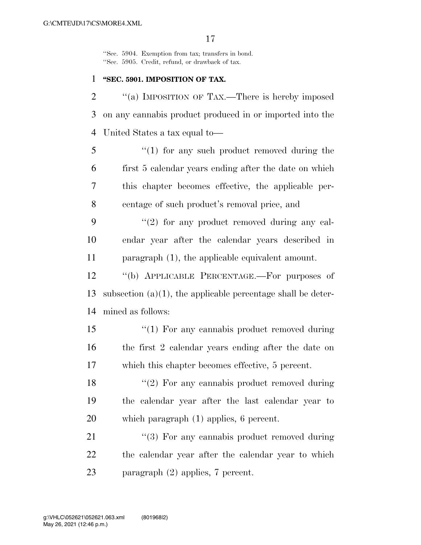''Sec. 5904. Exemption from tax; transfers in bond. ''Sec. 5905. Credit, refund, or drawback of tax.

#### 1 **''SEC. 5901. IMPOSITION OF TAX.**

2 ""(a) IMPOSITION OF TAX.—There is hereby imposed 3 on any cannabis product produced in or imported into the 4 United States a tax equal to—

 ''(1) for any such product removed during the first 5 calendar years ending after the date on which this chapter becomes effective, the applicable per-centage of such product's removal price, and

9  $(2)$  for any product removed during any cal-10 endar year after the calendar years described in 11 paragraph (1), the applicable equivalent amount.

12 ''(b) APPLICABLE PERCENTAGE.—For purposes of 13 subsection  $(a)(1)$ , the applicable percentage shall be deter-14 mined as follows:

15 "(1) For any cannabis product removed during 16 the first 2 calendar years ending after the date on 17 which this chapter becomes effective, 5 percent.

18 ''(2) For any cannabis product removed during 19 the calendar year after the last calendar year to 20 which paragraph (1) applies, 6 percent.

21 ''(3) For any cannabis product removed during 22 the calendar year after the calendar year to which 23 paragraph (2) applies, 7 percent.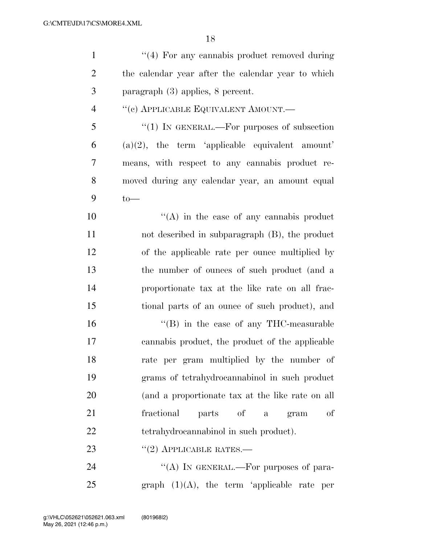| $\mathbf{1}$   | "(4) For any cannabis product removed during         |
|----------------|------------------------------------------------------|
| $\overline{2}$ | the calendar year after the calendar year to which   |
| 3              | paragraph $(3)$ applies, 8 percent.                  |
| $\overline{4}$ | "(c) APPLICABLE EQUIVALENT AMOUNT.                   |
| 5              | "(1) IN GENERAL.—For purposes of subsection          |
| 6              | $(a)(2)$ , the term 'applicable equivalent amount'   |
| 7              | means, with respect to any cannabis product re-      |
| 8              | moved during any calendar year, an amount equal      |
| 9              | $to-$                                                |
| 10             | $\lq\lq$ in the case of any cannabis product         |
| 11             | not described in subparagraph (B), the product       |
| 12             | of the applicable rate per ounce multiplied by       |
| 13             | the number of ounces of such product (and a          |
| 14             | proportionate tax at the like rate on all frac-      |
| 15             | tional parts of an ounce of such product), and       |
| 16             | $\cdot$ (B) in the case of any THC-measurable        |
| 17             | cannabis product, the product of the applicable      |
| 18             | rate per gram multiplied by the number of            |
| 19             | grams of tetrahydrocannabinol in such product        |
| <b>20</b>      | (and a proportionate tax at the like rate on all     |
| 21             | of<br>fractional<br>parts of<br>gram<br>$\mathbf{a}$ |
| 22             | tetrahydrocannabinol in such product).               |
| 23             | $``(2)$ APPLICABLE RATES.—                           |
| 24             | "(A) IN GENERAL.—For purposes of para-               |

25 graph  $(1)(A)$ , the term 'applicable rate per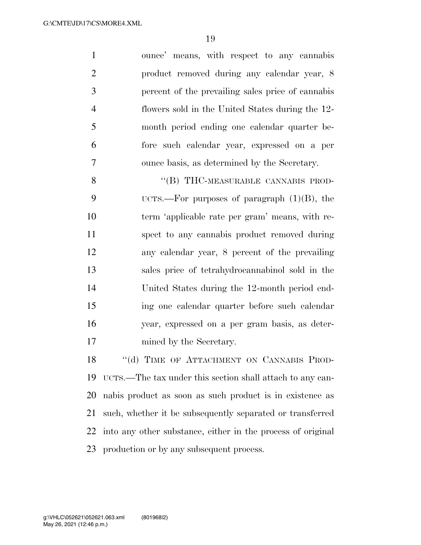ounce' means, with respect to any cannabis product removed during any calendar year, 8 percent of the prevailing sales price of cannabis flowers sold in the United States during the 12- month period ending one calendar quarter be- fore such calendar year, expressed on a per ounce basis, as determined by the Secretary.

8 "(B) THC-MEASURABLE CANNABIS PROD- UCTS.—For purposes of paragraph (1)(B), the term 'applicable rate per gram' means, with re- spect to any cannabis product removed during any calendar year, 8 percent of the prevailing sales price of tetrahydrocannabinol sold in the United States during the 12-month period end- ing one calendar quarter before such calendar year, expressed on a per gram basis, as deter-mined by the Secretary.

18 "(d) TIME OF ATTACHMENT ON CANNABIS PROD- UCTS.—The tax under this section shall attach to any can- nabis product as soon as such product is in existence as such, whether it be subsequently separated or transferred into any other substance, either in the process of original production or by any subsequent process.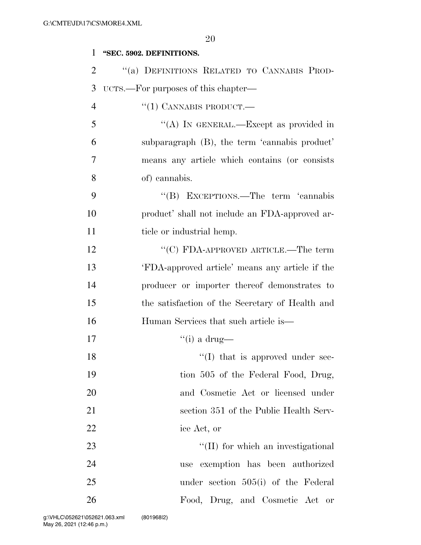#### **''SEC. 5902. DEFINITIONS.**

| $\overline{2}$ | "(a) DEFINITIONS RELATED TO CANNABIS PROD-      |
|----------------|-------------------------------------------------|
| 3              | UCTS.—For purposes of this chapter—             |
| $\overline{4}$ | $``(1)$ CANNABIS PRODUCT.—                      |
| 5              | "(A) IN GENERAL.—Except as provided in          |
| 6              | subparagraph (B), the term 'cannabis product'   |
| 7              | means any article which contains (or consists)  |
| 8              | of) cannabis.                                   |
| 9              | "(B) EXCEPTIONS.—The term 'cannabis             |
| 10             | product' shall not include an FDA-approved ar-  |
| 11             | ticle or industrial hemp.                       |
| 12             | "(C) FDA-APPROVED ARTICLE.—The term             |
| 13             | 'FDA-approved article' means any article if the |
| 14             | producer or importer thereof demonstrates to    |
| 15             | the satisfaction of the Secretary of Health and |
| 16             | Human Services that such article is—            |
| 17             | "(i) a drug—                                    |
| 18             | $\lq\lq$ (I) that is approved under sec-        |
| 19             | tion 505 of the Federal Food, Drug,             |
| 20             | and Cosmetic Act or licensed under              |
| 21             | section 351 of the Public Health Serv-          |
| 22             | ice Act, or                                     |
| 23             | "(II) for which an investigational              |
| 24             | exemption has been authorized<br>use            |
| 25             | under section $505(i)$ of the Federal           |
| 26             | Food, Drug, and Cosmetic Act or                 |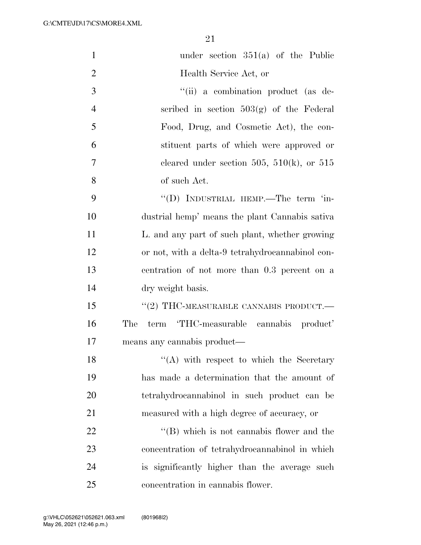| $\mathbf{1}$   | under section $351(a)$ of the Public              |
|----------------|---------------------------------------------------|
| $\overline{2}$ | Health Service Act, or                            |
| 3              | "(ii) a combination product (as de-               |
| $\overline{4}$ | scribed in section $503(g)$ of the Federal        |
| 5              | Food, Drug, and Cosmetic Act), the con-           |
| 6              | stituent parts of which were approved or          |
| 7              | cleared under section 505, 510(k), or 515         |
| 8              | of such Act.                                      |
| 9              | "(D) INDUSTRIAL HEMP.—The term 'in-               |
| 10             | dustrial hemp' means the plant Cannabis sativa    |
| 11             | L. and any part of such plant, whether growing    |
| 12             | or not, with a delta-9 tetrahydrocannabinol con-  |
| 13             | centration of not more than 0.3 percent on a      |
| 14             | dry weight basis.                                 |
| 15             | "(2) THC-MEASURABLE CANNABIS PRODUCT. $-$         |
| 16             | term 'THC-measurable cannabis product'<br>The     |
| 17             | means any cannabis product—                       |
| 18             | "(A) with respect to which the Secretary          |
| 19             | has made a determination that the amount of       |
| 20             | tetrahydrocannabinol in such product can be       |
| 21             | measured with a high degree of accuracy, or       |
| 22             | $\lq\lq (B)$ which is not cannabis flower and the |
| 23             | concentration of tetrahydrocannabinol in which    |
| 24             | is significantly higher than the average such     |
| 25             | concentration in cannabis flower.                 |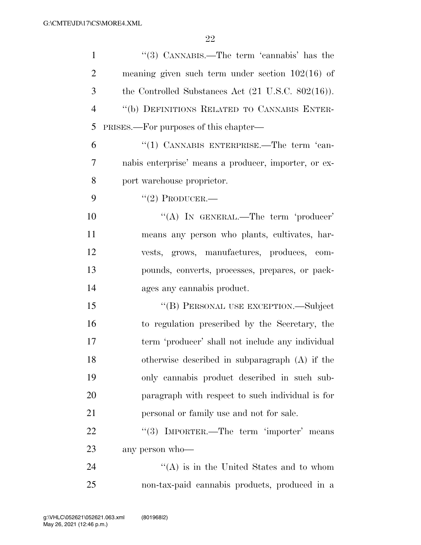| $\mathbf{1}$   | "(3) CANNABIS.—The term 'cannabis' has the                     |
|----------------|----------------------------------------------------------------|
| $\overline{2}$ | meaning given such term under section $102(16)$ of             |
| 3              | the Controlled Substances Act $(21 \text{ U.S.C. } 802(16))$ . |
| $\overline{4}$ | "(b) DEFINITIONS RELATED TO CANNABIS ENTER-                    |
| 5              | PRISES.—For purposes of this chapter—                          |
| 6              | "(1) CANNABIS ENTERPRISE.—The term 'can-                       |
| 7              | nabis enterprise' means a producer, importer, or ex-           |
| 8              | port warehouse proprietor.                                     |
| 9              | $"(2)$ PRODUCER.—                                              |
| 10             | "(A) IN GENERAL.—The term 'producer'                           |
| 11             | means any person who plants, cultivates, har-                  |
| 12             | vests, grows, manufactures, produces, com-                     |
| 13             | pounds, converts, processes, prepares, or pack-                |
| 14             | ages any cannabis product.                                     |
| 15             | "(B) PERSONAL USE EXCEPTION.—Subject                           |
| 16             | to regulation prescribed by the Secretary, the                 |
| 17             | term 'producer' shall not include any individual               |
| 18             | otherwise described in subparagraph (A) if the                 |
| 19             | only cannabis product described in such sub-                   |
| 20             | paragraph with respect to such individual is for               |
| 21             | personal or family use and not for sale.                       |
| 22             | "(3) IMPORTER.—The term 'importer' means                       |
| 23             | any person who-                                                |
| 24             | $\lq\lq$ is in the United States and to whom                   |
| 25             | non-tax-paid cannabis products, produced in a                  |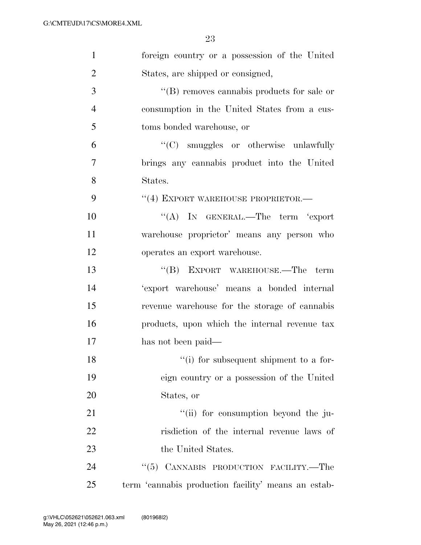| $\mathbf{1}$   | foreign country or a possession of the United       |
|----------------|-----------------------------------------------------|
| $\overline{2}$ | States, are shipped or consigned,                   |
| 3              | $\lq\lq$ removes cannabis products for sale or      |
| $\overline{4}$ | consumption in the United States from a cus-        |
| 5              | toms bonded warehouse, or                           |
| 6              | "(C) smuggles or otherwise unlawfully               |
| 7              | brings any cannabis product into the United         |
| 8              | States.                                             |
| 9              | "(4) EXPORT WAREHOUSE PROPRIETOR.-                  |
| 10             | "(A) IN GENERAL.—The term 'export                   |
| 11             | warehouse proprietor' means any person who          |
| 12             | operates an export warehouse.                       |
| 13             | $``$ (B) EXPORT WAREHOUSE.—The term                 |
| 14             | 'export warehouse' means a bonded internal          |
| 15             | revenue warehouse for the storage of cannabis       |
| 16             | products, upon which the internal revenue tax       |
| 17             | has not been paid—                                  |
| 18             | "(i) for subsequent shipment to a for-              |
| 19             | eign country or a possession of the United          |
| 20             | States, or                                          |
| 21             | "(ii) for consumption beyond the ju-                |
| 22             | risdiction of the internal revenue laws of          |
| 23             | the United States.                                  |
| 24             | $``(5)$ CANNABIS PRODUCTION FACILITY.—The           |
| 25             | term 'cannabis production facility' means an estab- |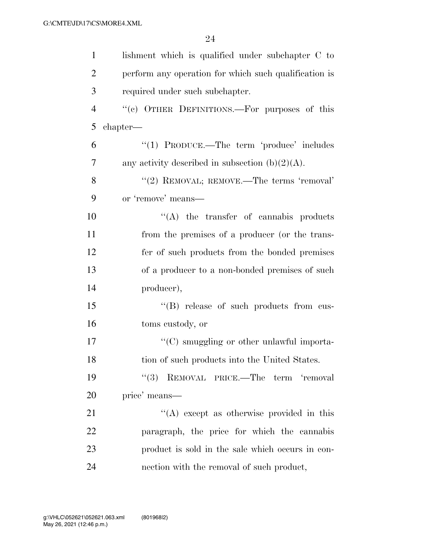| $\mathbf{1}$   | lishment which is qualified under subchapter C to     |
|----------------|-------------------------------------------------------|
| $\overline{2}$ | perform any operation for which such qualification is |
| 3              | required under such subchapter.                       |
| $\overline{4}$ | "(c) OTHER DEFINITIONS.—For purposes of this          |
| 5              | chapter—                                              |
| 6              | "(1) PRODUCE.—The term 'produce' includes             |
| 7              | any activity described in subsection $(b)(2)(A)$ .    |
| 8              | "(2) REMOVAL; REMOVE.—The terms 'removal'             |
| 9              | or 'remove' means-                                    |
| 10             | $\lq\lq$ the transfer of cannabis products            |
| 11             | from the premises of a producer (or the trans-        |
| 12             | fer of such products from the bonded premises         |
| 13             | of a producer to a non-bonded premises of such        |
| 14             | producer),                                            |
| 15             | "(B) release of such products from cus-               |
| 16             | toms custody, or                                      |
| 17             | $\cdot$ (C) smuggling or other unlawful importa-      |
| 18             | tion of such products into the United States.         |
| 19             | "(3) REMOVAL PRICE.—The term 'removal                 |
| 20             | price' means—                                         |
| 21             | $\lq\lq$ except as otherwise provided in this         |
| 22             | paragraph, the price for which the cannabis           |
| 23             | product is sold in the sale which occurs in con-      |
| 24             | nection with the removal of such product,             |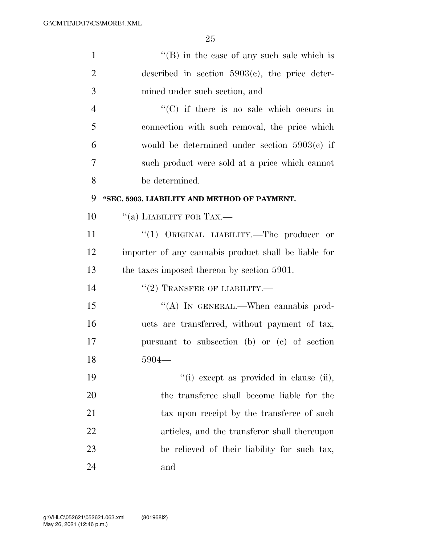| $\mathbf{1}$   | $\lq\lq$ (B) in the case of any such sale which is   |
|----------------|------------------------------------------------------|
| $\overline{2}$ | described in section $5903(c)$ , the price deter-    |
| 3              | mined under such section, and                        |
| $\overline{4}$ | $\lq\lq$ (C) if there is no sale which occurs in     |
| 5              | connection with such removal, the price which        |
| 6              | would be determined under section $5903(c)$ if       |
| 7              | such product were sold at a price which cannot       |
| 8              | be determined.                                       |
| 9              | "SEC. 5903. LIABILITY AND METHOD OF PAYMENT.         |
| 10             | "(a) LIABILITY FOR TAX.—                             |
| 11             | "(1) ORIGINAL LIABILITY.—The producer or             |
| 12             | importer of any cannabis product shall be liable for |
| 13             | the taxes imposed thereon by section 5901.           |
| 14             | $``(2)$ TRANSFER OF LIABILITY.—                      |
| 15             | "(A) IN GENERAL.—When cannabis prod-                 |
| 16             | ucts are transferred, without payment of tax,        |
| 17             | pursuant to subsection (b) or (c) of section         |
| 18             | $5904-$                                              |
| 19             | "(i) except as provided in clause (ii),              |
| 20             | the transferee shall become liable for the           |
| 21             | tax upon receipt by the transferee of such           |
| 22             | articles, and the transferor shall thereupon         |
| 23             | be relieved of their liability for such tax,         |
| 24             | and                                                  |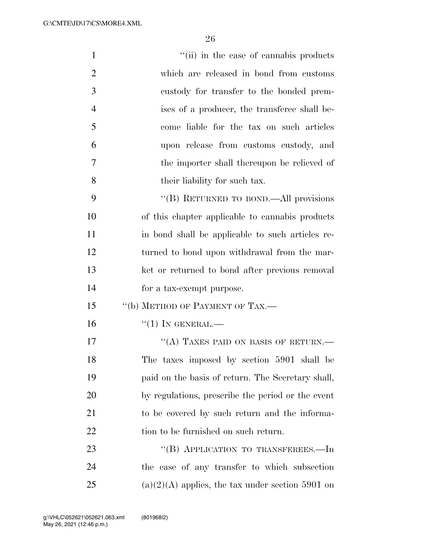| $\mathbf{1}$   | "(ii) in the case of cannabis products             |
|----------------|----------------------------------------------------|
| $\overline{2}$ | which are released in bond from customs            |
| 3              | custody for transfer to the bonded prem-           |
| $\overline{4}$ | ises of a producer, the transferee shall be-       |
| 5              | come liable for the tax on such articles           |
| 6              | upon release from customs custody, and             |
| 7              | the importer shall thereupon be relieved of        |
| 8              | their liability for such tax.                      |
| 9              | "(B) RETURNED TO BOND.—All provisions              |
| 10             | of this chapter applicable to cannabis products    |
| 11             | in bond shall be applicable to such articles re-   |
| 12             | turned to bond upon withdrawal from the mar-       |
| 13             | ket or returned to bond after previous removal     |
| 14             | for a tax-exempt purpose.                          |
| 15             | "(b) METHOD OF PAYMENT OF TAX.—                    |
| 16             | $``(1)$ IN GENERAL.—                               |
| 17             | "(A) TAXES PAID ON BASIS OF RETURN.—               |
| 18             | The taxes imposed by section 5901 shall be         |
| 19             | paid on the basis of return. The Secretary shall,  |
| 20             | by regulations, prescribe the period or the event  |
| 21             | to be covered by such return and the informa-      |
| <u>22</u>      | tion to be furnished on such return.               |
| 23             | "(B) APPLICATION TO TRANSFEREES.—In                |
| 24             | the case of any transfer to which subsection       |
| $25\,$         | $(a)(2)(A)$ applies, the tax under section 5901 on |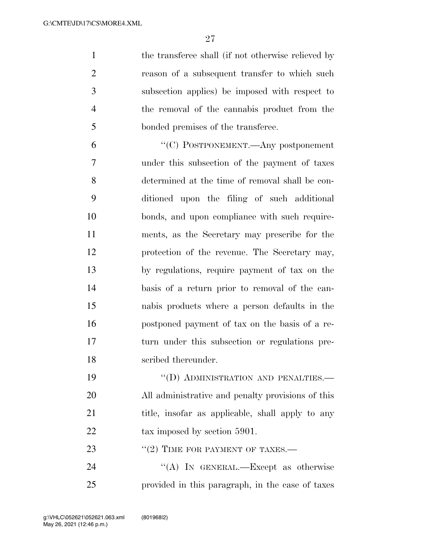1 the transferee shall (if not otherwise relieved by reason of a subsequent transfer to which such subsection applies) be imposed with respect to the removal of the cannabis product from the bonded premises of the transferee.

 ''(C) POSTPONEMENT.—Any postponement under this subsection of the payment of taxes determined at the time of removal shall be con- ditioned upon the filing of such additional bonds, and upon compliance with such require- ments, as the Secretary may prescribe for the protection of the revenue. The Secretary may, by regulations, require payment of tax on the basis of a return prior to removal of the can- nabis products where a person defaults in the postponed payment of tax on the basis of a re- turn under this subsection or regulations pre-scribed thereunder.

19 "(D) ADMINISTRATION AND PENALTIES.— All administrative and penalty provisions of this 21 title, insofar as applicable, shall apply to any 22 tax imposed by section 5901.

23 "(2) TIME FOR PAYMENT OF TAXES.—

24 "(A) In GENERAL.—Except as otherwise provided in this paragraph, in the case of taxes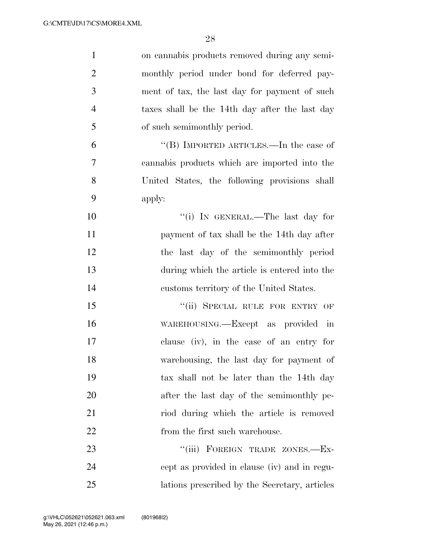| $\mathbf{1}$   | on cannabis products removed during any semi-  |
|----------------|------------------------------------------------|
| $\overline{2}$ | monthly period under bond for deferred pay-    |
| 3              | ment of tax, the last day for payment of such  |
| $\overline{4}$ | taxes shall be the 14th day after the last day |
| 5              | of such semimonthly period.                    |
| 6              | "(B) IMPORTED ARTICLES.—In the case of         |
| 7              | cannabis products which are imported into the  |
| 8              | United States, the following provisions shall  |
| 9              | apply:                                         |
| 10             | "(i) IN GENERAL.—The last day for              |
| 11             | payment of tax shall be the 14th day after     |
| 12             | the last day of the semimonthly period         |
| 13             | during which the article is entered into the   |
| 14             | customs territory of the United States.        |
| 15             | "(ii) SPECIAL RULE FOR ENTRY OF                |
| 16             | WAREHOUSING.—Except as provided<br>$\dot{m}$   |
| 17             | clause (iv), in the case of an entry for       |
| 18             | warehousing, the last day for payment of       |
| 19             | tax shall not be later than the 14th day       |
| 20             | after the last day of the semimonthly pe-      |
| 21             | riod during which the article is removed       |
| 22             | from the first such warehouse.                 |
| 23             | FOREIGN TRADE ZONES.-Ex-<br>``(iii)            |
| 24             | cept as provided in clause (iv) and in regu-   |
| 25             | lations prescribed by the Secretary, articles  |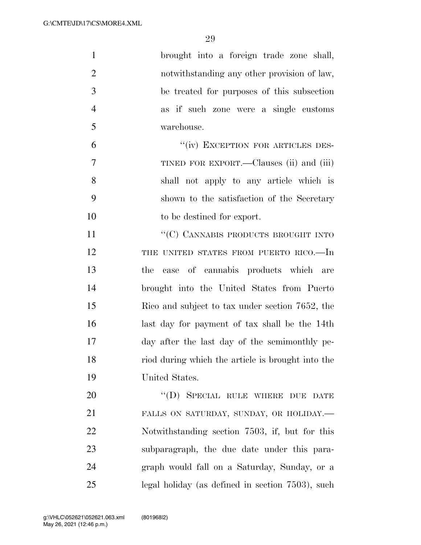| $\mathbf{1}$   | brought into a foreign trade zone shall,          |
|----------------|---------------------------------------------------|
| $\overline{2}$ | notwithstanding any other provision of law,       |
| 3              | be treated for purposes of this subsection        |
| $\overline{4}$ | as if such zone were a single customs             |
| 5              | warehouse.                                        |
| 6              | "(iv) EXCEPTION FOR ARTICLES DES-                 |
| 7              | TINED FOR EXPORT.—Clauses (ii) and (iii)          |
| 8              | shall not apply to any article which is           |
| 9              | shown to the satisfaction of the Secretary        |
| 10             | to be destined for export.                        |
| 11             | "(C) CANNABIS PRODUCTS BROUGHT INTO               |
| 12             | THE UNITED STATES FROM PUERTO RICO.-In            |
| 13             | case of cannabis products which are<br>the        |
| 14             | brought into the United States from Puerto        |
| 15             | Rico and subject to tax under section 7652, the   |
| 16             | last day for payment of tax shall be the 14th     |
| 17             | day after the last day of the semimonthly pe-     |
| 18             | riod during which the article is brought into the |
| 19             | United States.                                    |
| 20             | "(D) SPECIAL RULE WHERE DUE DATE                  |
| 21             | FALLS ON SATURDAY, SUNDAY, OR HOLIDAY.-           |
| 22             | Notwithstanding section 7503, if, but for this    |
| 23             | subparagraph, the due date under this para-       |
| 24             | graph would fall on a Saturday, Sunday, or a      |
| 25             | legal holiday (as defined in section 7503), such  |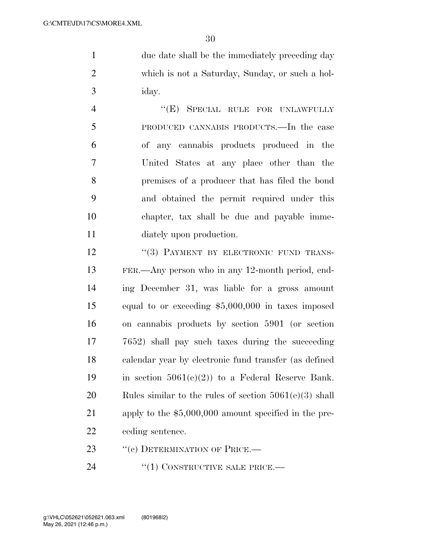1 due date shall be the immediately preceding day which is not a Saturday, Sunday, or such a hol-iday.

4 "(E) SPECIAL RULE FOR UNLAWFULLY PRODUCED CANNABIS PRODUCTS.—In the case of any cannabis products produced in the United States at any place other than the premises of a producer that has filed the bond and obtained the permit required under this chapter, tax shall be due and payable imme-diately upon production.

12 "(3) PAYMENT BY ELECTRONIC FUND TRANS- FER.—Any person who in any 12-month period, end- ing December 31, was liable for a gross amount equal to or exceeding \$5,000,000 in taxes imposed on cannabis products by section 5901 (or section 7652) shall pay such taxes during the succeeding calendar year by electronic fund transfer (as defined 19 in section  $5061(e)(2)$  to a Federal Reserve Bank. Rules similar to the rules of section 5061(e)(3) shall apply to the \$5,000,000 amount specified in the pre-ceding sentence.

23 "(c) DETERMINATION OF PRICE.—

24 "(1) CONSTRUCTIVE SALE PRICE.—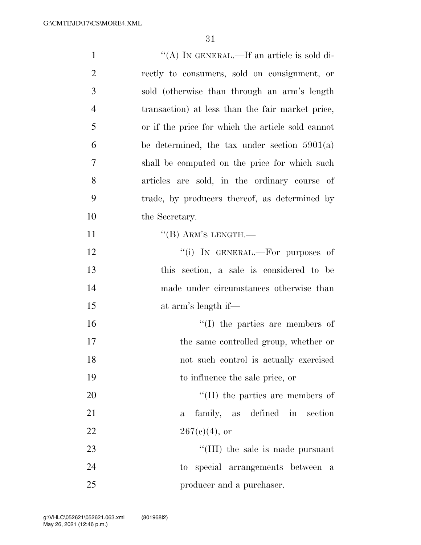| $\mathbf{1}$   | "(A) IN GENERAL.—If an article is sold di-        |
|----------------|---------------------------------------------------|
| $\overline{2}$ | rectly to consumers, sold on consignment, or      |
| 3              | sold (otherwise than through an arm's length      |
| $\overline{4}$ | transaction) at less than the fair market price,  |
| 5              | or if the price for which the article sold cannot |
| 6              | be determined, the tax under section $5901(a)$    |
| 7              | shall be computed on the price for which such     |
| 8              | articles are sold, in the ordinary course of      |
| 9              | trade, by producers thereof, as determined by     |
| 10             | the Secretary.                                    |
| 11             | $\lq\lq (B)$ ARM'S LENGTH.—                       |
| 12             | "(i) IN GENERAL.—For purposes of                  |
| 13             | this section, a sale is considered to be          |
| 14             | made under circumstances otherwise than           |
| 15             | at arm's length if—                               |
| 16             | $\lq\lq$ (I) the parties are members of           |
| 17             | the same controlled group, whether or             |
| 18             | not such control is actually exercised            |
| 19             | to influence the sale price, or                   |
| 20             | $\lq\lq$ (II) the parties are members of          |
| 21             | family, as defined in section<br>$\mathbf{a}$     |
| 22             | $267(e)(4)$ , or                                  |
| 23             | $\lq\lq$ (III) the sale is made pursuant          |
| 24             | to special arrangements between<br>a a            |
| 25             | producer and a purchaser.                         |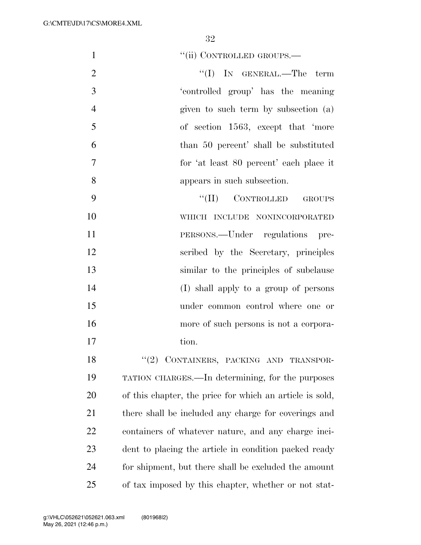1 ''(ii) CONTROLLED GROUPS.—

- 2 ''(I) IN GENERAL.—The term 'controlled group' has the meaning given to such term by subsection (a) of section 1563, except that 'more than 50 percent' shall be substituted for 'at least 80 percent' each place it appears in such subsection.
- 9 "(II) CONTROLLED GROUPS WHICH INCLUDE NONINCORPORATED PERSONS.—Under regulations pre- scribed by the Secretary, principles similar to the principles of subclause (I) shall apply to a group of persons under common control where one or more of such persons is not a corpora-17 tion.

18 "(2) CONTAINERS, PACKING AND TRANSPOR- TATION CHARGES.—In determining, for the purposes of this chapter, the price for which an article is sold, there shall be included any charge for coverings and containers of whatever nature, and any charge inci- dent to placing the article in condition packed ready for shipment, but there shall be excluded the amount of tax imposed by this chapter, whether or not stat-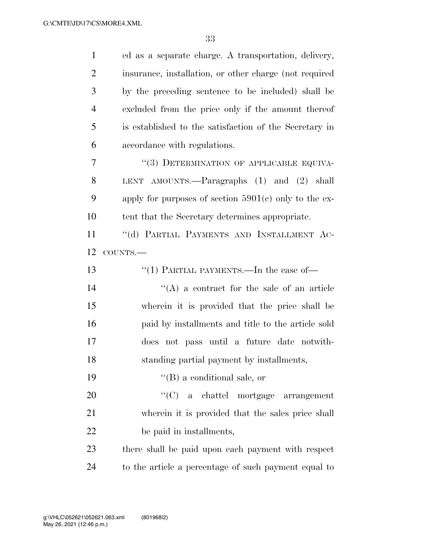| $\mathbf{1}$   | ed as a separate charge. A transportation, delivery,    |
|----------------|---------------------------------------------------------|
| $\overline{2}$ | insurance, installation, or other charge (not required  |
| 3              | by the preceding sentence to be included) shall be      |
| $\overline{4}$ | excluded from the price only if the amount thereof      |
| 5              | is established to the satisfaction of the Secretary in  |
| 6              | accordance with regulations.                            |
| 7              | "(3) DETERMINATION OF APPLICABLE EQUIVA-                |
| 8              | LENT AMOUNTS.— $\text{Paragraphs}$ (1) and (2) shall    |
| 9              | apply for purposes of section $5901(c)$ only to the ex- |
| 10             | tent that the Secretary determines appropriate.         |
| 11             | "(d) PARTIAL PAYMENTS AND INSTALLMENT AC-               |
| 12             | COUNTS.-                                                |
|                |                                                         |
| 13             | "(1) PARTIAL PAYMENTS.—In the case of—                  |
| 14             | $\lq\lq$ a contract for the sale of an article          |
| 15             | wherein it is provided that the price shall be          |
| 16             | paid by installments and title to the article sold      |
| 17             | does not pass until a future date notwith-              |
| 18             | standing partial payment by installments,               |
| 19             | $\lq\lq (B)$ a conditional sale, or                     |
| 20             | "(C) a chattel mortgage arrangement                     |
| 21             | wherein it is provided that the sales price shall       |
| 22             | be paid in installments,                                |
| 23             | there shall be paid upon each payment with respect      |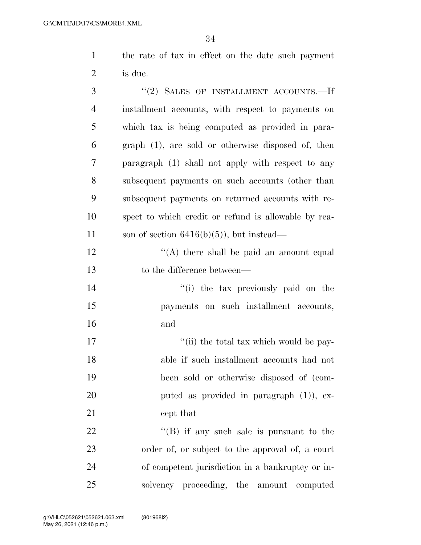the rate of tax in effect on the date such payment is due.

| 3              | "(2) SALES OF INSTALLMENT ACCOUNTS.-If               |
|----------------|------------------------------------------------------|
| $\overline{4}$ | installment accounts, with respect to payments on    |
| 5              | which tax is being computed as provided in para-     |
| 6              | $graph(1)$ , are sold or otherwise disposed of, then |
| 7              | paragraph (1) shall not apply with respect to any    |
| 8              | subsequent payments on such accounts (other than     |
| 9              | subsequent payments on returned accounts with re-    |
| 10             | spect to which credit or refund is allowable by rea- |
| 11             | son of section $6416(b)(5)$ , but instead—           |
| 12             | "(A) there shall be paid an amount equal             |
| 13             | to the difference between—                           |
| 14             | "(i) the tax previously paid on the                  |
| 15             | payments on such installment accounts,               |
| 16             | and                                                  |
| 17             | "(ii) the total tax which would be pay-              |
| 18             | able if such installment accounts had not            |
| 19             | been sold or otherwise disposed of (com-             |
| 20             | puted as provided in paragraph $(1)$ ), ex-          |
| 21             | cept that                                            |
| 22             | $\lq\lq$ if any such sale is pursuant to the         |
| 23             | order of, or subject to the approval of, a court     |
| 24             | of competent jurisdiction in a bankruptcy or in-     |
| 25             | solvency proceeding, the amount computed             |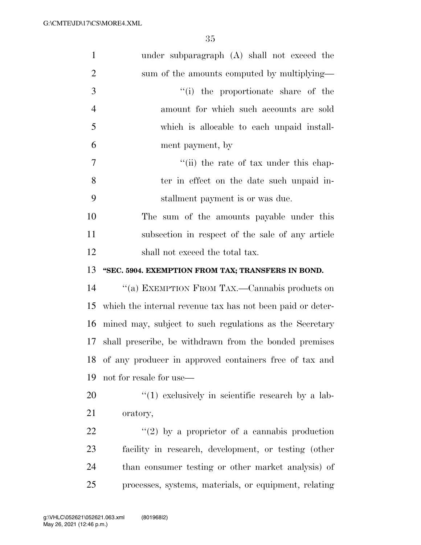| $\mathbf{1}$   | under subparagraph (A) shall not exceed the                |
|----------------|------------------------------------------------------------|
| $\overline{2}$ | sum of the amounts computed by multiplying—                |
| 3              | "(i) the proportionate share of the                        |
| $\overline{4}$ | amount for which such accounts are sold                    |
| 5              | which is allocable to each unpaid install-                 |
| 6              | ment payment, by                                           |
| 7              | "(ii) the rate of tax under this chap-                     |
| 8              | ter in effect on the date such unpaid in-                  |
| 9              | stallment payment is or was due.                           |
| 10             | The sum of the amounts payable under this                  |
| 11             | subsection in respect of the sale of any article           |
| 12             | shall not exceed the total tax.                            |
|                |                                                            |
| 13             | "SEC. 5904. EXEMPTION FROM TAX; TRANSFERS IN BOND.         |
| 14             | "(a) EXEMPTION FROM TAX.—Cannabis products on              |
| 15             | which the internal revenue tax has not been paid or deter- |
| 16             | mined may, subject to such regulations as the Secretary    |
| 17             | shall prescribe, be withdrawn from the bonded premises     |
| 18             | of any producer in approved containers free of tax and     |
| 19             | not for resale for use—                                    |
| 20             | $\lq(1)$ exclusively in scientific research by a lab-      |
| 21             | oratory,                                                   |
| 22             | "(2) by a proprietor of a cannabis production              |
| 23             | facility in research, development, or testing (other       |
| 24             | than consumer testing or other market analysis) of         |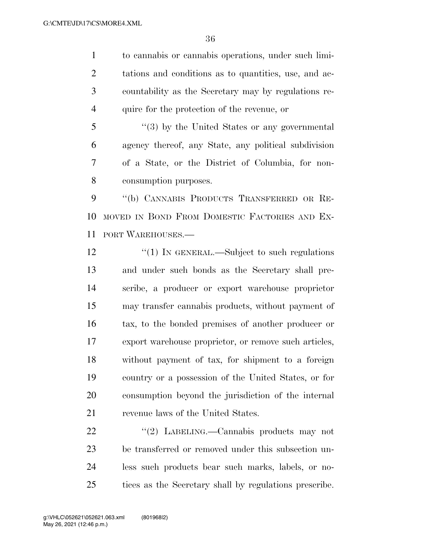to cannabis or cannabis operations, under such limi- tations and conditions as to quantities, use, and ac- countability as the Secretary may by regulations re-quire for the protection of the revenue, or

 ''(3) by the United States or any governmental agency thereof, any State, any political subdivision of a State, or the District of Columbia, for non-consumption purposes.

 ''(b) CANNABIS PRODUCTS TRANSFERRED OR RE- MOVED IN BOND FROM DOMESTIC FACTORIES AND EX-PORT WAREHOUSES.—

12 "(1) IN GENERAL.—Subject to such regulations and under such bonds as the Secretary shall pre- scribe, a producer or export warehouse proprietor may transfer cannabis products, without payment of tax, to the bonded premises of another producer or export warehouse proprietor, or remove such articles, without payment of tax, for shipment to a foreign country or a possession of the United States, or for consumption beyond the jurisdiction of the internal revenue laws of the United States.

22 "(2) LABELING.—Cannabis products may not be transferred or removed under this subsection un- less such products bear such marks, labels, or no-tices as the Secretary shall by regulations prescribe.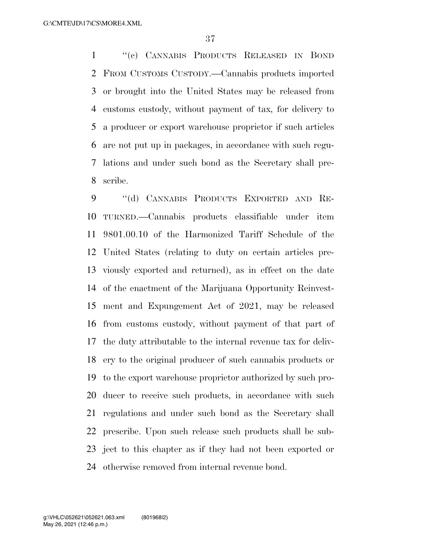''(c) CANNABIS PRODUCTS RELEASED IN BOND FROM CUSTOMS CUSTODY.—Cannabis products imported or brought into the United States may be released from customs custody, without payment of tax, for delivery to a producer or export warehouse proprietor if such articles are not put up in packages, in accordance with such regu- lations and under such bond as the Secretary shall pre-scribe.

9 "(d) CANNABIS PRODUCTS EXPORTED AND RE- TURNED.—Cannabis products classifiable under item 9801.00.10 of the Harmonized Tariff Schedule of the United States (relating to duty on certain articles pre- viously exported and returned), as in effect on the date of the enactment of the Marijuana Opportunity Reinvest- ment and Expungement Act of 2021, may be released from customs custody, without payment of that part of the duty attributable to the internal revenue tax for deliv- ery to the original producer of such cannabis products or to the export warehouse proprietor authorized by such pro- ducer to receive such products, in accordance with such regulations and under such bond as the Secretary shall prescribe. Upon such release such products shall be sub- ject to this chapter as if they had not been exported or otherwise removed from internal revenue bond.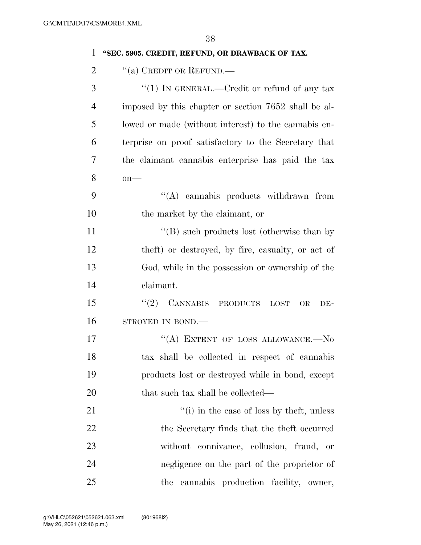| $\mathbf{1}$   | "SEC. 5905. CREDIT, REFUND, OR DRAWBACK OF TAX.         |
|----------------|---------------------------------------------------------|
| $\overline{2}$ | "(a) CREDIT OR REFUND.—                                 |
| 3              | "(1) IN GENERAL.—Credit or refund of any tax            |
| $\overline{4}$ | imposed by this chapter or section 7652 shall be al-    |
| 5              | lowed or made (without interest) to the cannabis en-    |
| 6              | terprise on proof satisfactory to the Secretary that    |
| 7              | the claimant cannabis enterprise has paid the tax       |
| 8              | $on$ —                                                  |
| 9              | "(A) cannabis products withdrawn from                   |
| 10             | the market by the claimant, or                          |
| 11             | $\lq\lq (B)$ such products lost (otherwise than by      |
| 12             | theft) or destroyed, by fire, casualty, or act of       |
| 13             | God, while in the possession or ownership of the        |
| 14             | claimant.                                               |
| 15             | (2)<br><b>CANNABIS</b><br>PRODUCTS<br>OR<br>LOST<br>DE- |
| 16             | STROYED IN BOND.-                                       |
| 17             | "(A) EXTENT OF LOSS ALLOWANCE.— $No$                    |
| 18             | tax shall be collected in respect of cannabis           |
| 19             | products lost or destroyed while in bond, except        |
| 20             | that such tax shall be collected—                       |
| 21             | $f'(i)$ in the case of loss by theft, unless            |
| 22             | the Secretary finds that the theft occurred             |
| 23             | without connivance, collusion, fraud, or                |
| 24             | negligence on the part of the proprietor of             |
| 25             | the cannabis production facility, owner,                |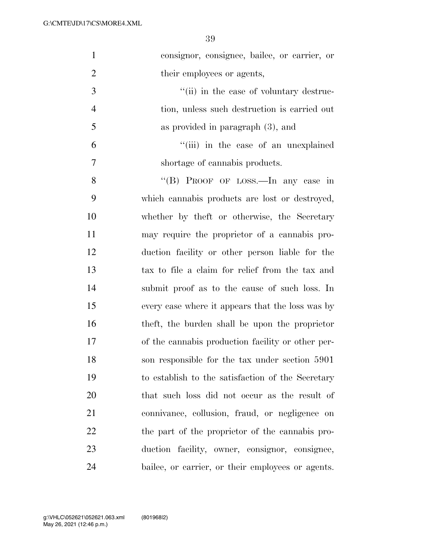| $\mathbf{1}$   | consignor, consignee, bailee, or carrier, or      |
|----------------|---------------------------------------------------|
| $\overline{2}$ | their employees or agents,                        |
| 3              | "(ii) in the case of voluntary destruc-           |
| $\overline{4}$ | tion, unless such destruction is carried out      |
| 5              | as provided in paragraph $(3)$ , and              |
| 6              | "(iii) in the case of an unexplained              |
| 7              | shortage of cannabis products.                    |
| 8              | "(B) PROOF OF LOSS.—In any case in                |
| 9              | which cannabis products are lost or destroyed,    |
| 10             | whether by theft or otherwise, the Secretary      |
| 11             | may require the proprietor of a cannabis pro-     |
| 12             | duction facility or other person liable for the   |
| 13             | tax to file a claim for relief from the tax and   |
| 14             | submit proof as to the cause of such loss. In     |
| 15             | every case where it appears that the loss was by  |
| 16             | theft, the burden shall be upon the proprietor    |
| 17             | of the cannabis production facility or other per- |
| 18             | son responsible for the tax under section 5901    |
| 19             | to establish to the satisfaction of the Secretary |
| 20             | that such loss did not occur as the result of     |
| 21             | connivance, collusion, fraud, or negligence on    |
| 22             | the part of the proprietor of the cannabis pro-   |
| 23             | duction facility, owner, consignor, consignee,    |
| 24             | bailee, or carrier, or their employees or agents. |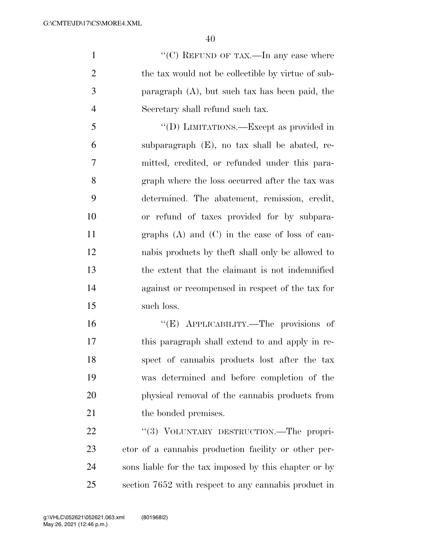$\cdot$  (C) REFUND OF TAX.—In any case where the tax would not be collectible by virtue of sub- paragraph (A), but such tax has been paid, the Secretary shall refund such tax.

 ''(D) LIMITATIONS.—Except as provided in subparagraph (E), no tax shall be abated, re- mitted, credited, or refunded under this para- graph where the loss occurred after the tax was determined. The abatement, remission, credit, or refund of taxes provided for by subpara- graphs (A) and (C) in the case of loss of can- nabis products by theft shall only be allowed to the extent that the claimant is not indemnified against or recompensed in respect of the tax for such loss.

 ''(E) APPLICABILITY.—The provisions of this paragraph shall extend to and apply in re- spect of cannabis products lost after the tax was determined and before completion of the physical removal of the cannabis products from 21 the bonded premises.

22 "(3) VOLUNTARY DESTRUCTION.—The propri- etor of a cannabis production facility or other per- sons liable for the tax imposed by this chapter or by section 7652 with respect to any cannabis product in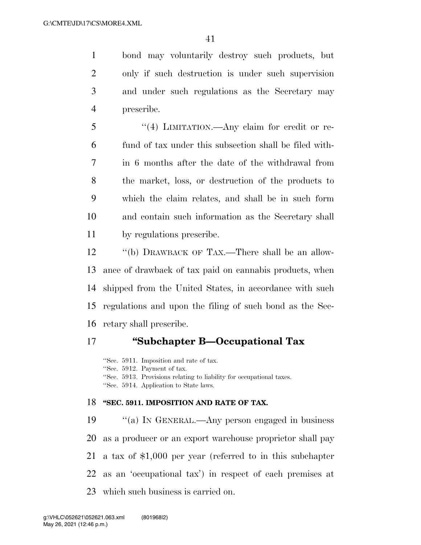bond may voluntarily destroy such products, but only if such destruction is under such supervision and under such regulations as the Secretary may prescribe.

 ''(4) LIMITATION.—Any claim for credit or re- fund of tax under this subsection shall be filed with- in 6 months after the date of the withdrawal from the market, loss, or destruction of the products to which the claim relates, and shall be in such form and contain such information as the Secretary shall by regulations prescribe.

 ''(b) DRAWBACK OF TAX.—There shall be an allow- ance of drawback of tax paid on cannabis products, when shipped from the United States, in accordance with such regulations and upon the filing of such bond as the Sec-retary shall prescribe.

## **''Subchapter B—Occupational Tax**

''Sec. 5911. Imposition and rate of tax. ''Sec. 5912. Payment of tax. ''Sec. 5913. Provisions relating to liability for occupational taxes. ''Sec. 5914. Application to State laws.

#### **''SEC. 5911. IMPOSITION AND RATE OF TAX.**

 ''(a) IN GENERAL.—Any person engaged in business as a producer or an export warehouse proprietor shall pay a tax of \$1,000 per year (referred to in this subchapter as an 'occupational tax') in respect of each premises at which such business is carried on.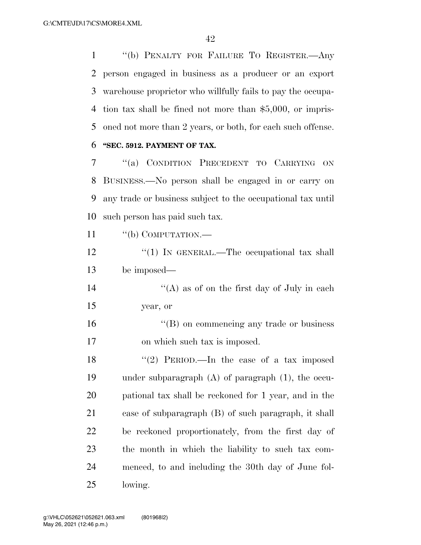''(b) PENALTY FOR FAILURE TO REGISTER.—Any person engaged in business as a producer or an export warehouse proprietor who willfully fails to pay the occupa- tion tax shall be fined not more than \$5,000, or impris-oned not more than 2 years, or both, for each such offense.

#### **''SEC. 5912. PAYMENT OF TAX.**

 ''(a) CONDITION PRECEDENT TO CARRYING ON BUSINESS.—No person shall be engaged in or carry on any trade or business subject to the occupational tax until such person has paid such tax.

11 "(b) COMPUTATION.—

12 "(1) IN GENERAL.—The occupational tax shall be imposed—

14  $\langle (A)$  as of on the first day of July in each year, or

 ''(B) on commencing any trade or business on which such tax is imposed.

18 ''(2) PERIOD.—In the case of a tax imposed under subparagraph (A) of paragraph (1), the occu- pational tax shall be reckoned for 1 year, and in the case of subparagraph (B) of such paragraph, it shall be reckoned proportionately, from the first day of the month in which the liability to such tax com- menced, to and including the 30th day of June fol-lowing.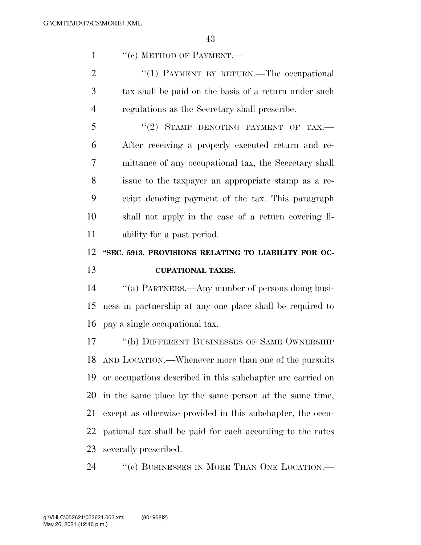1 "(c) METHOD OF PAYMENT.—

2 "(1) PAYMENT BY RETURN.—The occupational tax shall be paid on the basis of a return under such regulations as the Secretary shall prescribe.

 "(2) STAMP DENOTING PAYMENT OF TAX.— After receiving a properly executed return and re- mittance of any occupational tax, the Secretary shall issue to the taxpayer an appropriate stamp as a re- ceipt denoting payment of the tax. This paragraph shall not apply in the case of a return covering li-ability for a past period.

# **''SEC. 5913. PROVISIONS RELATING TO LIABILITY FOR OC-CUPATIONAL TAXES.**

 ''(a) PARTNERS.—Any number of persons doing busi- ness in partnership at any one place shall be required to pay a single occupational tax.

17 "(b) DIFFERENT BUSINESSES OF SAME OWNERSHIP AND LOCATION.—Whenever more than one of the pursuits or occupations described in this subchapter are carried on in the same place by the same person at the same time, except as otherwise provided in this subchapter, the occu- pational tax shall be paid for each according to the rates severally prescribed.

24 "(c) BUSINESSES IN MORE THAN ONE LOCATION.—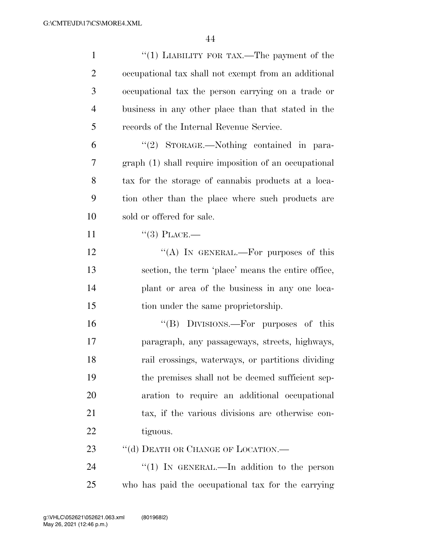| $\mathbf{1}$   | "(1) LIABILITY FOR TAX.—The payment of the            |
|----------------|-------------------------------------------------------|
| $\overline{2}$ | occupational tax shall not exempt from an additional  |
| 3              | occupational tax the person carrying on a trade or    |
| 4              | business in any other place than that stated in the   |
| 5              | records of the Internal Revenue Service.              |
| 6              | "(2) STORAGE.—Nothing contained in para-              |
| 7              | graph (1) shall require imposition of an occupational |
| 8              | tax for the storage of cannabis products at a loca-   |
| 9              | tion other than the place where such products are     |
| 10             | sold or offered for sale.                             |
| 11             | $``(3)$ PLACE.—                                       |
| 12             | "(A) IN GENERAL.—For purposes of this                 |
| 13             | section, the term 'place' means the entire office,    |
| 14             | plant or area of the business in any one loca-        |
| 15             | tion under the same proprietorship.                   |
| 16             | "(B) DIVISIONS.—For purposes of this                  |
| 17             | paragraph, any passageways, streets, highways,        |
| 18             | rail crossings, waterways, or partitions dividing     |
| 19             | the premises shall not be deemed sufficient sep-      |
| 20             | aration to require an additional occupational         |
| 21             | tax, if the various divisions are otherwise con-      |
| 22             | tiguous.                                              |
| 23             | "(d) DEATH OR CHANGE OF LOCATION.—                    |
| 24             | "(1) IN GENERAL.—In addition to the person            |
| 25             | who has paid the occupational tax for the carrying    |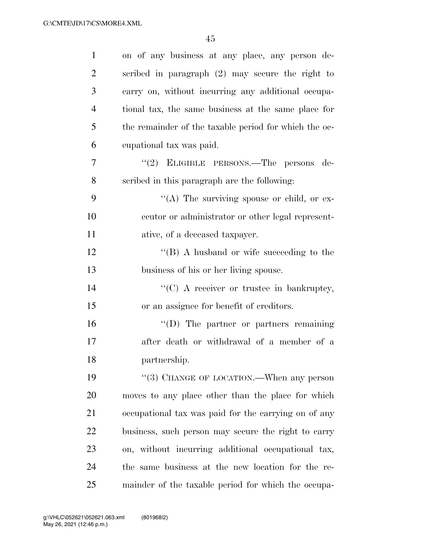| $\mathbf{1}$   | on of any business at any place, any person de-       |
|----------------|-------------------------------------------------------|
| $\overline{c}$ | scribed in paragraph (2) may secure the right to      |
| 3              | carry on, without incurring any additional occupa-    |
| 4              | tional tax, the same business at the same place for   |
| 5              | the remainder of the taxable period for which the oc- |
| 6              | cupational tax was paid.                              |
| 7              | "(2) ELIGIBLE PERSONS.—The persons de-                |
| 8              | scribed in this paragraph are the following:          |
| 9              | "(A) The surviving spouse or child, or ex-            |
| 10             | ecutor or administrator or other legal represent-     |
| 11             | ative, of a deceased taxpayer.                        |
| 12             | $\lq\lq (B)$ A husband or wife succeeding to the      |
| 13             | business of his or her living spouse.                 |
| 14             | "(C) A receiver or trustee in bankruptcy,             |
| 15             | or an assignee for benefit of creditors.              |
| 16             | "(D) The partner or partners remaining                |
| 17             | after death or withdrawal of a member of a            |
| 18             | partnership.                                          |
| 19             | $\cdot\cdot$ (3) CHANGE OF LOCATION.—When any person  |
| 20             | moves to any place other than the place for which     |
| 21             | occupational tax was paid for the carrying on of any  |
| 22             | business, such person may secure the right to carry   |
| 23             | on, without incurring additional occupational tax,    |
| 24             | the same business at the new location for the re-     |
| 25             | mainder of the taxable period for which the occupa-   |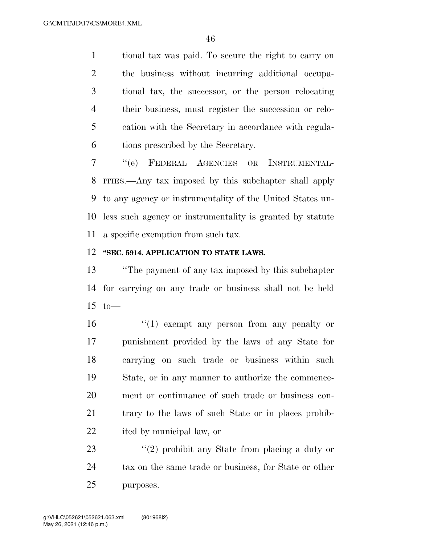tional tax was paid. To secure the right to carry on the business without incurring additional occupa- tional tax, the successor, or the person relocating their business, must register the succession or relo- cation with the Secretary in accordance with regula-tions prescribed by the Secretary.

 ''(e) FEDERAL AGENCIES OR INSTRUMENTAL- ITIES.—Any tax imposed by this subchapter shall apply to any agency or instrumentality of the United States un- less such agency or instrumentality is granted by statute a specific exemption from such tax.

### **''SEC. 5914. APPLICATION TO STATE LAWS.**

 ''The payment of any tax imposed by this subchapter for carrying on any trade or business shall not be held to—

 $\frac{16}{10}$  exempt any person from any penalty or punishment provided by the laws of any State for carrying on such trade or business within such State, or in any manner to authorize the commence- ment or continuance of such trade or business con- trary to the laws of such State or in places prohib-ited by municipal law, or

23 ''(2) prohibit any State from placing a duty or 24 tax on the same trade or business, for State or other purposes.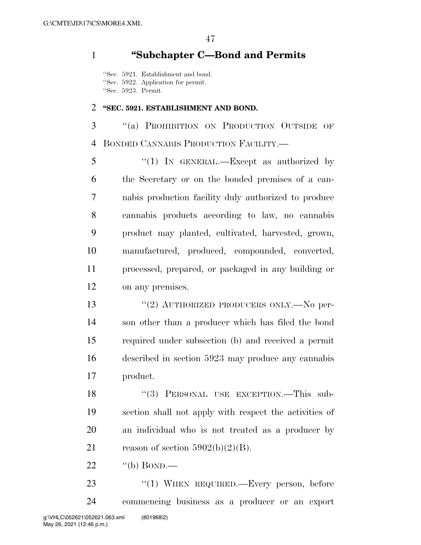## **''Subchapter C—Bond and Permits**

''Sec. 5921. Establishment and bond. ''Sec. 5922. Application for permit. ''Sec. 5923. Permit.

#### **''SEC. 5921. ESTABLISHMENT AND BOND.**

 ''(a) PROHIBITION ON PRODUCTION OUTSIDE OF BONDED CANNABIS PRODUCTION FACILITY.—

 ''(1) IN GENERAL.—Except as authorized by the Secretary or on the bonded premises of a can- nabis production facility duly authorized to produce cannabis products according to law, no cannabis product may planted, cultivated, harvested, grown, manufactured, produced, compounded, converted, processed, prepared, or packaged in any building or on any premises.

13 "(2) AUTHORIZED PRODUCERS ONLY.—No per- son other than a producer which has filed the bond required under subsection (b) and received a permit described in section 5923 may produce any cannabis product.

18 "(3) PERSONAL USE EXCEPTION.—This sub- section shall not apply with respect the activities of an individual who is not treated as a producer by 21 reason of section  $5902(b)(2)(B)$ .

22  $\qquad$  "(b) BOND.—

23 "(1) WHEN REQUIRED.—Every person, before commencing business as a producer or an export g:\VHLC\052621\052621.063.xml (801968|2)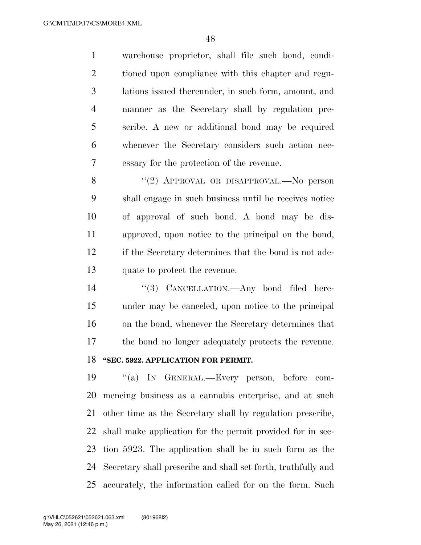warehouse proprietor, shall file such bond, condi- tioned upon compliance with this chapter and regu- lations issued thereunder, in such form, amount, and manner as the Secretary shall by regulation pre- scribe. A new or additional bond may be required whenever the Secretary considers such action nec-essary for the protection of the revenue.

8 "(2) APPROVAL OR DISAPPROVAL.—No person shall engage in such business until he receives notice of approval of such bond. A bond may be dis- approved, upon notice to the principal on the bond, if the Secretary determines that the bond is not ade-quate to protect the revenue.

14 "(3) CANCELLATION.—Any bond filed here- under may be canceled, upon notice to the principal on the bond, whenever the Secretary determines that the bond no longer adequately protects the revenue. **''SEC. 5922. APPLICATION FOR PERMIT.** 

 ''(a) IN GENERAL.—Every person, before com- mencing business as a cannabis enterprise, and at such other time as the Secretary shall by regulation prescribe, shall make application for the permit provided for in sec- tion 5923. The application shall be in such form as the Secretary shall prescribe and shall set forth, truthfully and accurately, the information called for on the form. Such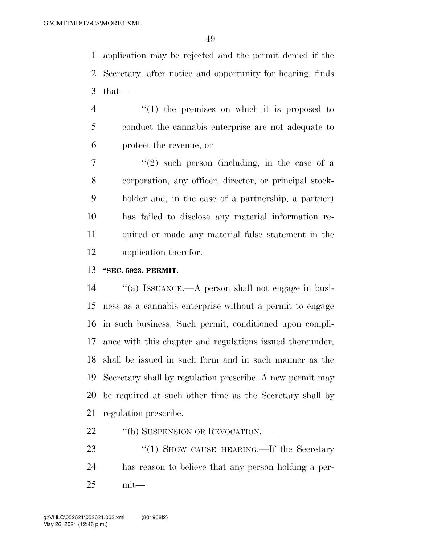application may be rejected and the permit denied if the Secretary, after notice and opportunity for hearing, finds that—

- $\frac{4}{1}$  <sup>(1)</sup> the premises on which it is proposed to conduct the cannabis enterprise are not adequate to protect the revenue, or
- $7 \t$  ''(2) such person (including, in the case of a corporation, any officer, director, or principal stock- holder and, in the case of a partnership, a partner) has failed to disclose any material information re- quired or made any material false statement in the application therefor.
- **''SEC. 5923. PERMIT.**

 ''(a) ISSUANCE.—A person shall not engage in busi- ness as a cannabis enterprise without a permit to engage in such business. Such permit, conditioned upon compli- ance with this chapter and regulations issued thereunder, shall be issued in such form and in such manner as the Secretary shall by regulation prescribe. A new permit may be required at such other time as the Secretary shall by regulation prescribe.

- 22 "(b) SUSPENSION OR REVOCATION.—
- 23 "(1) SHOW CAUSE HEARING.—If the Secretary has reason to believe that any person holding a per-mit—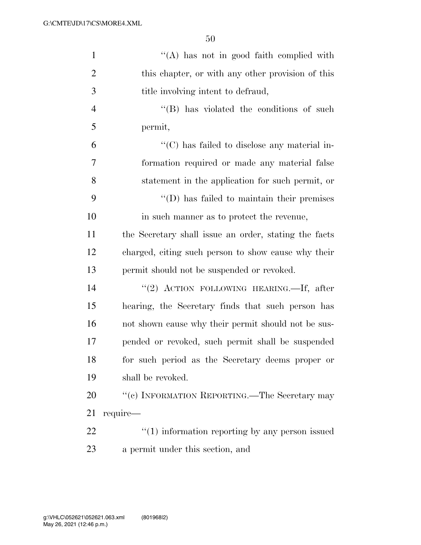| $\mathbf{1}$   | $\lq\lq$ has not in good faith complied with                      |
|----------------|-------------------------------------------------------------------|
| $\overline{2}$ | this chapter, or with any other provision of this                 |
| 3              | title involving intent to defraud,                                |
| $\overline{4}$ | $\lq\lq$ (B) has violated the conditions of such                  |
| 5              | permit,                                                           |
| 6              | $\lq\lq$ <sup>c</sup> (C) has failed to disclose any material in- |
| 7              | formation required or made any material false                     |
| 8              | statement in the application for such permit, or                  |
| 9              | $\lq\lq$ (D) has failed to maintain their premises                |
| 10             | in such manner as to protect the revenue,                         |
| 11             | the Secretary shall issue an order, stating the facts             |
| 12             | charged, citing such person to show cause why their               |
| 13             | permit should not be suspended or revoked.                        |
| 14             | "(2) ACTION FOLLOWING HEARING.—If, after                          |
| 15             | hearing, the Secretary finds that such person has                 |
| 16             | not shown cause why their permit should not be sus-               |
| 17             | pended or revoked, such permit shall be suspended                 |
| 18             | for such period as the Secretary deems proper or                  |
| 19             | shall be revoked.                                                 |
| 20             | "(c) INFORMATION REPORTING.—The Secretary may                     |
| 21             | require—                                                          |
| 22             | $\cdot$ (1) information reporting by any person issued            |
| 23             | a permit under this section, and                                  |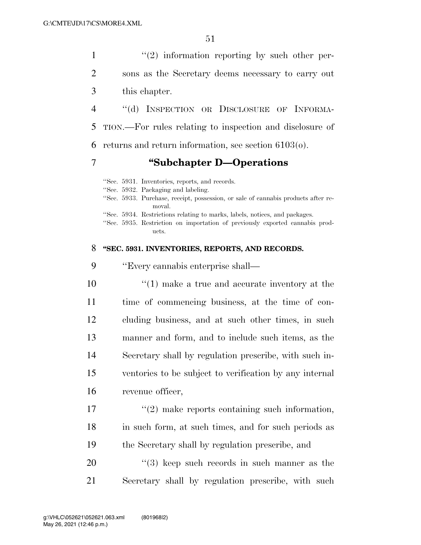$\mathcal{L}(2)$  information reporting by such other per- sons as the Secretary deems necessary to carry out this chapter. ''(d) INSPECTION OR DISCLOSURE OF INFORMA- TION.—For rules relating to inspection and disclosure of returns and return information, see section 6103(o).

### 7 **''Subchapter D—Operations**

''Sec. 5931. Inventories, reports, and records. ''Sec. 5932. Packaging and labeling. ''Sec. 5933. Purchase, receipt, possession, or sale of cannabis products after removal. ''Sec. 5934. Restrictions relating to marks, labels, notices, and packages. ''Sec. 5935. Restriction on importation of previously exported cannabis products.

#### 8 **''SEC. 5931. INVENTORIES, REPORTS, AND RECORDS.**

9 ''Every cannabis enterprise shall—

 $\frac{10}{10}$  make a true and accurate inventory at the time of commencing business, at the time of con- cluding business, and at such other times, in such manner and form, and to include such items, as the Secretary shall by regulation prescribe, with such in- ventories to be subject to verification by any internal revenue officer,

17 ''(2) make reports containing such information, 18 in such form, at such times, and for such periods as 19 the Secretary shall by regulation prescribe, and

 $20$  ''(3) keep such records in such manner as the 21 Secretary shall by regulation prescribe, with such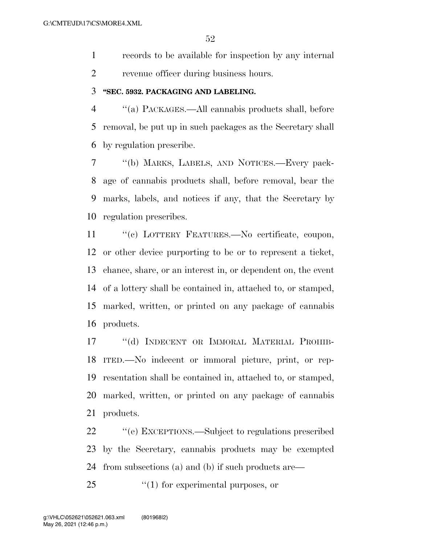records to be available for inspection by any internal revenue officer during business hours.

#### **''SEC. 5932. PACKAGING AND LABELING.**

 ''(a) PACKAGES.—All cannabis products shall, before removal, be put up in such packages as the Secretary shall by regulation prescribe.

 ''(b) MARKS, LABELS, AND NOTICES.—Every pack- age of cannabis products shall, before removal, bear the marks, labels, and notices if any, that the Secretary by regulation prescribes.

 ''(c) LOTTERY FEATURES.—No certificate, coupon, or other device purporting to be or to represent a ticket, chance, share, or an interest in, or dependent on, the event of a lottery shall be contained in, attached to, or stamped, marked, written, or printed on any package of cannabis products.

 ''(d) INDECENT OR IMMORAL MATERIAL PROHIB- ITED.—No indecent or immoral picture, print, or rep- resentation shall be contained in, attached to, or stamped, marked, written, or printed on any package of cannabis products.

 ''(e) EXCEPTIONS.—Subject to regulations prescribed by the Secretary, cannabis products may be exempted from subsections (a) and (b) if such products are—

25  $\frac{1}{2}$  (1) for experimental purposes, or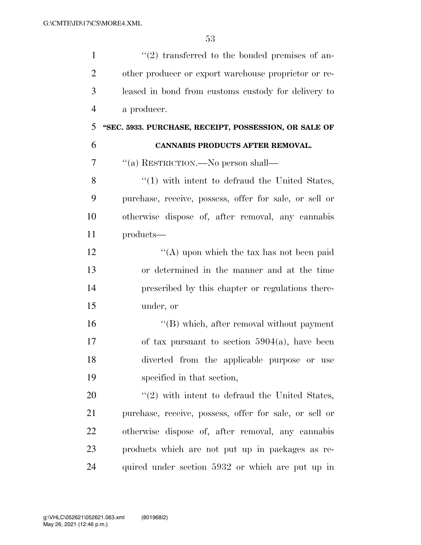| $\mathbf{1}$   | $(2)$ transferred to the bonded premises of an-        |
|----------------|--------------------------------------------------------|
| $\overline{2}$ | other producer or export warehouse proprietor or re-   |
| 3              | leased in bond from customs custody for delivery to    |
| $\overline{4}$ | a producer.                                            |
| 5              | "SEC. 5933. PURCHASE, RECEIPT, POSSESSION, OR SALE OF  |
| 6              | CANNABIS PRODUCTS AFTER REMOVAL.                       |
| 7              | "(a) RESTRICTION.—No person shall—                     |
| 8              | $\lq(1)$ with intent to defraud the United States,     |
| 9              | purchase, receive, possess, offer for sale, or sell or |
| 10             | otherwise dispose of, after removal, any cannabis      |
| 11             | products-                                              |
| 12             | "(A) upon which the tax has not been paid              |
| 13             | or determined in the manner and at the time            |
| 14             | prescribed by this chapter or regulations there-       |
| 15             | under, or                                              |
| 16             | "(B) which, after removal without payment              |
| 17             | of tax pursuant to section $5904(a)$ , have been       |
| 18             | diverted from the applicable purpose or use            |
| 19             | specified in that section,                             |
| 20             | $\lq(2)$ with intent to defraud the United States,     |
| 21             | purchase, receive, possess, offer for sale, or sell or |
| 22             | otherwise dispose of, after removal, any cannabis      |
| 23             | products which are not put up in packages as re-       |
| 24             | quired under section 5932 or which are put up in       |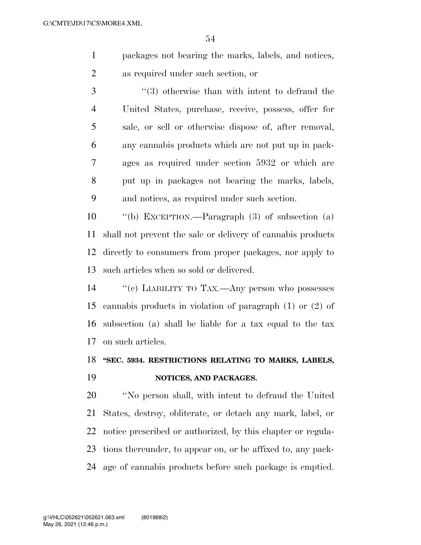- packages not bearing the marks, labels, and notices, as required under such section, or
- ''(3) otherwise than with intent to defraud the United States, purchase, receive, possess, offer for sale, or sell or otherwise dispose of, after removal, any cannabis products which are not put up in pack- ages as required under section 5932 or which are put up in packages not bearing the marks, labels, and notices, as required under such section.

 ''(b) EXCEPTION.—Paragraph (3) of subsection (a) shall not prevent the sale or delivery of cannabis products directly to consumers from proper packages, nor apply to such articles when so sold or delivered.

 ''(c) LIABILITY TO TAX.—Any person who possesses cannabis products in violation of paragraph (1) or (2) of subsection (a) shall be liable for a tax equal to the tax on such articles.

# **''SEC. 5934. RESTRICTIONS RELATING TO MARKS, LABELS, NOTICES, AND PACKAGES.**

 ''No person shall, with intent to defraud the United States, destroy, obliterate, or detach any mark, label, or notice prescribed or authorized, by this chapter or regula- tions thereunder, to appear on, or be affixed to, any pack-age of cannabis products before such package is emptied.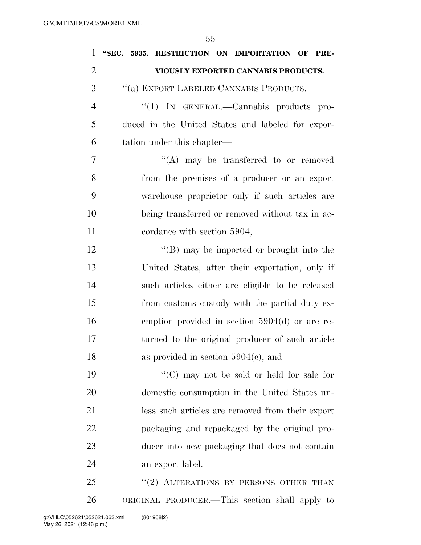| $\mathbf{1}$   | "SEC. 5935. RESTRICTION ON IMPORTATION OF PRE-    |
|----------------|---------------------------------------------------|
| $\overline{c}$ | VIOUSLY EXPORTED CANNABIS PRODUCTS.               |
| 3              | "(a) EXPORT LABELED CANNABIS PRODUCTS.-           |
| $\overline{4}$ | "(1) IN GENERAL.—Cannabis products pro-           |
| 5              | duced in the United States and labeled for expor- |
| 6              | tation under this chapter—                        |
| 7              | $\lq\lq$ may be transferred to or removed         |
| 8              | from the premises of a producer or an export      |
| 9              | warehouse proprietor only if such articles are    |
| 10             | being transferred or removed without tax in ac-   |
| 11             | cordance with section 5904,                       |
| 12             | "(B) may be imported or brought into the          |
| 13             | United States, after their exportation, only if   |
| 14             | such articles either are eligible to be released  |
| 15             | from customs custody with the partial duty ex-    |
| 16             | emption provided in section $5904(d)$ or are re-  |
| 17             | turned to the original producer of such article   |
| 18             | as provided in section $5904(c)$ , and            |
| 19             | "(C) may not be sold or held for sale for         |
| 20             | domestic consumption in the United States un-     |
| 21             | less such articles are removed from their export  |
| 22             | packaging and repackaged by the original pro-     |
| 23             | ducer into new packaging that does not contain    |
| 24             | an export label.                                  |
| 25             | "(2) ALTERATIONS BY PERSONS OTHER THAN            |
| 26             | ORIGINAL PRODUCER.—This section shall apply to    |

May 26, 2021 (12:46 p.m.) g:\VHLC\052621\052621.063.xml (801968|2)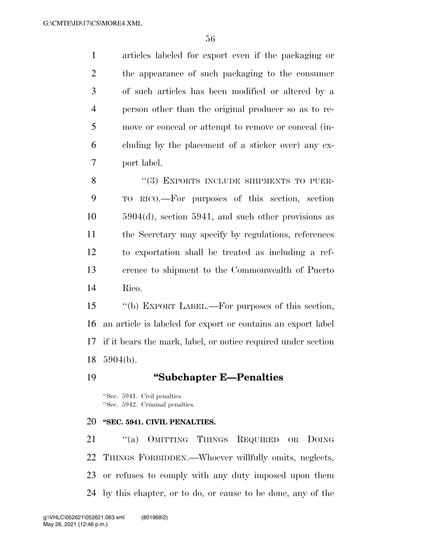articles labeled for export even if the packaging or the appearance of such packaging to the consumer of such articles has been modified or altered by a person other than the original producer so as to re- move or conceal or attempt to remove or conceal (in- cluding by the placement of a sticker over) any ex-port label.

8 "(3) EXPORTS INCLUDE SHIPMENTS TO PUER- TO RICO.—For purposes of this section, section 5904(d), section 5941, and such other provisions as the Secretary may specify by regulations, references to exportation shall be treated as including a ref- erence to shipment to the Commonwealth of Puerto Rico.

 ''(b) EXPORT LABEL.—For purposes of this section, an article is labeled for export or contains an export label if it bears the mark, label, or notice required under section 5904(b).

#### **''Subchapter E—Penalties**

''Sec. 5941. Civil penalties. ''Sec. 5942. Criminal penalties.

#### **''SEC. 5941. CIVIL PENALTIES.**

 ''(a) OMITTING THINGS REQUIRED OR DOING THINGS FORBIDDEN.—Whoever willfully omits, neglects, or refuses to comply with any duty imposed upon them by this chapter, or to do, or cause to be done, any of the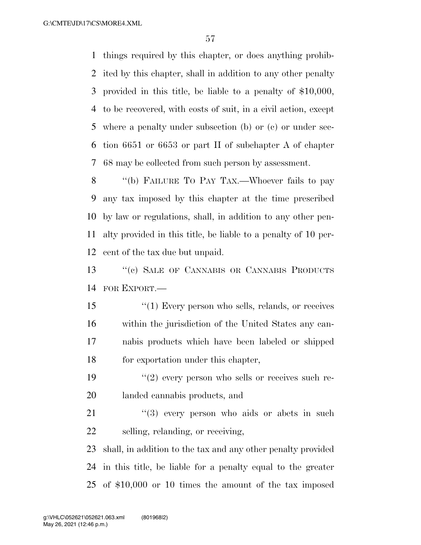things required by this chapter, or does anything prohib- ited by this chapter, shall in addition to any other penalty provided in this title, be liable to a penalty of \$10,000, to be recovered, with costs of suit, in a civil action, except where a penalty under subsection (b) or (c) or under sec- tion 6651 or 6653 or part II of subchapter A of chapter 68 may be collected from such person by assessment.

 ''(b) FAILURE TO PAY TAX.—Whoever fails to pay any tax imposed by this chapter at the time prescribed by law or regulations, shall, in addition to any other pen- alty provided in this title, be liable to a penalty of 10 per-cent of the tax due but unpaid.

 ''(c) SALE OF CANNABIS OR CANNABIS PRODUCTS FOR EXPORT.—

15 ''(1) Every person who sells, relands, or receives within the jurisdiction of the United States any can- nabis products which have been labeled or shipped for exportation under this chapter,

19  $(2)$  every person who sells or receives such re-landed cannabis products, and

 "(3) every person who aids or abets in such selling, relanding, or receiving,

 shall, in addition to the tax and any other penalty provided in this title, be liable for a penalty equal to the greater of \$10,000 or 10 times the amount of the tax imposed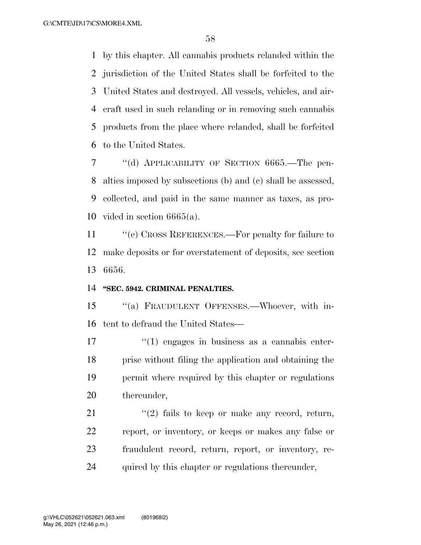by this chapter. All cannabis products relanded within the jurisdiction of the United States shall be forfeited to the United States and destroyed. All vessels, vehicles, and air- craft used in such relanding or in removing such cannabis products from the place where relanded, shall be forfeited to the United States.

 ''(d) APPLICABILITY OF SECTION 6665.—The pen- alties imposed by subsections (b) and (c) shall be assessed, collected, and paid in the same manner as taxes, as pro-vided in section 6665(a).

 ''(e) CROSS REFERENCES.—For penalty for failure to make deposits or for overstatement of deposits, see section 6656.

#### **''SEC. 5942. CRIMINAL PENALTIES.**

 ''(a) FRAUDULENT OFFENSES.—Whoever, with in-tent to defraud the United States—

 $\frac{17}{2}$  ''(1) engages in business as a cannabis enter- prise without filing the application and obtaining the permit where required by this chapter or regulations thereunder,

 $(2)$  fails to keep or make any record, return, report, or inventory, or keeps or makes any false or fraudulent record, return, report, or inventory, re-quired by this chapter or regulations thereunder,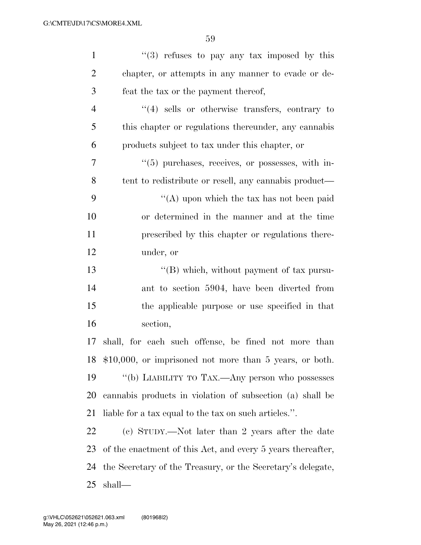| $\mathbf{1}$   | $(3)$ refuses to pay any tax imposed by this                |
|----------------|-------------------------------------------------------------|
| $\overline{2}$ | chapter, or attempts in any manner to evade or de-          |
| 3              | feat the tax or the payment thereof,                        |
| $\overline{4}$ | $\lq(4)$ sells or otherwise transfers, contrary to          |
| 5              | this chapter or regulations thereunder, any cannabis        |
| 6              | products subject to tax under this chapter, or              |
| 7              | $(5)$ purchases, receives, or possesses, with in-           |
| 8              | tent to redistribute or resell, any cannabis product—       |
| 9              | "(A) upon which the tax has not been paid                   |
| 10             | or determined in the manner and at the time                 |
| 11             | prescribed by this chapter or regulations there-            |
| 12             | under, or                                                   |
| 13             | "(B) which, without payment of tax pursu-                   |
| 14             | ant to section 5904, have been diverted from                |
| 15             | the applicable purpose or use specified in that             |
| 16             | section,                                                    |
| 17             | shall, for each such offense, be fined not more than        |
|                | 18 \$10,000, or imprisoned not more than 5 years, or both.  |
| 19             | "(b) LIABILITY TO TAX.—Any person who possesses             |
| 20             | cannabis products in violation of subsection (a) shall be   |
| 21             | liable for a tax equal to the tax on such articles.".       |
| 22             | (c) STUDY.—Not later than 2 years after the date            |
| 23             | of the enactment of this Act, and every 5 years thereafter, |
| 24             | the Secretary of the Treasury, or the Secretary's delegate, |
| 25             | shall—                                                      |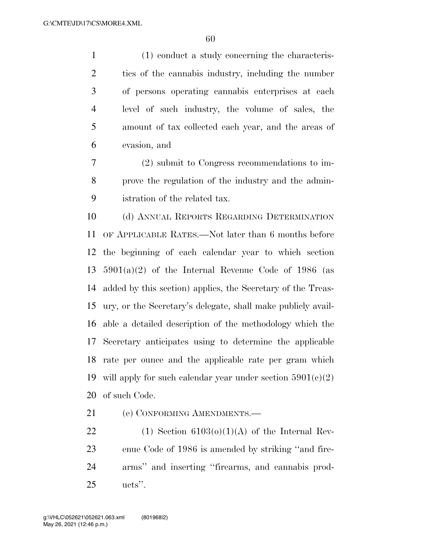(1) conduct a study concerning the characteris- tics of the cannabis industry, including the number of persons operating cannabis enterprises at each level of such industry, the volume of sales, the amount of tax collected each year, and the areas of evasion, and

 (2) submit to Congress recommendations to im- prove the regulation of the industry and the admin-istration of the related tax.

 (d) ANNUAL REPORTS REGARDING DETERMINATION OF APPLICABLE RATES.—Not later than 6 months before the beginning of each calendar year to which section  $5901(a)(2)$  of the Internal Revenue Code of 1986 (as added by this section) applies, the Secretary of the Treas- ury, or the Secretary's delegate, shall make publicly avail- able a detailed description of the methodology which the Secretary anticipates using to determine the applicable rate per ounce and the applicable rate per gram which 19 will apply for such calendar year under section  $5901(c)(2)$ of such Code.

(e) CONFORMING AMENDMENTS.—

22 (1) Section  $6103(0)(1)(A)$  of the Internal Rev- enue Code of 1986 is amended by striking ''and fire- arms'' and inserting ''firearms, and cannabis prod-ucts''.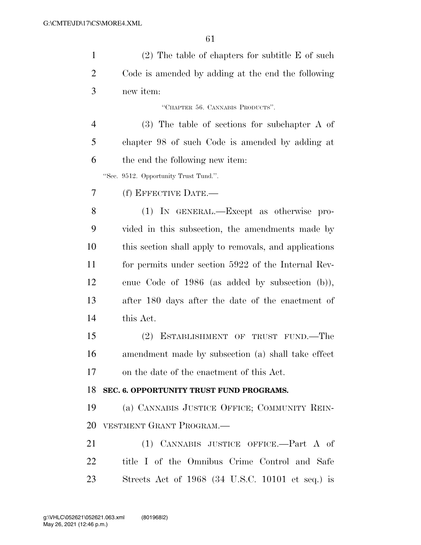| $\mathbf{1}$   | $(2)$ The table of chapters for subtitle E of such     |
|----------------|--------------------------------------------------------|
| $\overline{2}$ | Code is amended by adding at the end the following     |
| 3              | new item:                                              |
|                | "CHAPTER 56. CANNABIS PRODUCTS".                       |
| $\overline{4}$ | $(3)$ The table of sections for subchapter A of        |
| 5              | chapter 98 of such Code is amended by adding at        |
| 6              | the end the following new item:                        |
|                | "Sec. 9512. Opportunity Trust Tund.".                  |
| 7              | (f) EFFECTIVE DATE.—                                   |
| 8              | (1) IN GENERAL.—Except as otherwise pro-               |
| 9              | vided in this subsection, the amendments made by       |
| 10             | this section shall apply to removals, and applications |
| 11             | for permits under section 5922 of the Internal Rev-    |
| 12             | enue Code of 1986 (as added by subsection (b)),        |
| 13             | after 180 days after the date of the enactment of      |
| 14             | this Act.                                              |
| 15             | (2)<br>ESTABLISHMENT OF TRUST FUND.—The                |
| 16             | amendment made by subsection (a) shall take effect     |
| 17             | on the date of the enactment of this Act.              |
| 18             | SEC. 6. OPPORTUNITY TRUST FUND PROGRAMS.               |
| 19             | (a) CANNABIS JUSTICE OFFICE; COMMUNITY REIN-           |
| 20             | VESTMENT GRANT PROGRAM.-                               |
| 21             | (1) CANNABIS JUSTICE OFFICE.—Part A of                 |
| 22             | title I of the Omnibus Crime Control and Safe          |
| 23             | Streets Act of $1968$ (34 U.S.C. 10101 et seq.) is     |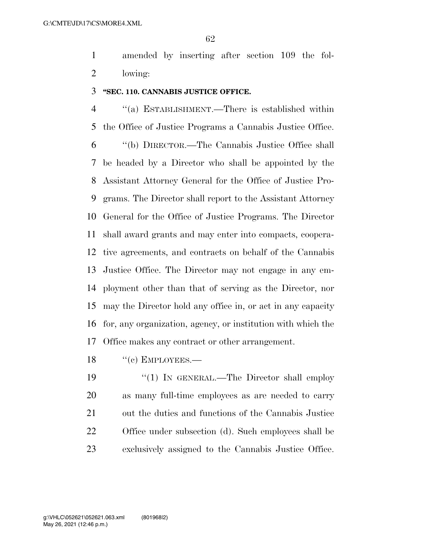amended by inserting after section 109 the fol-lowing:

#### **''SEC. 110. CANNABIS JUSTICE OFFICE.**

 ''(a) ESTABLISHMENT.—There is established within the Office of Justice Programs a Cannabis Justice Office. ''(b) DIRECTOR.—The Cannabis Justice Office shall be headed by a Director who shall be appointed by the Assistant Attorney General for the Office of Justice Pro- grams. The Director shall report to the Assistant Attorney General for the Office of Justice Programs. The Director shall award grants and may enter into compacts, coopera- tive agreements, and contracts on behalf of the Cannabis Justice Office. The Director may not engage in any em- ployment other than that of serving as the Director, nor may the Director hold any office in, or act in any capacity for, any organization, agency, or institution with which the Office makes any contract or other arrangement.

18 "(c) EMPLOYEES.—

19 "(1) IN GENERAL.—The Director shall employ as many full-time employees as are needed to carry out the duties and functions of the Cannabis Justice Office under subsection (d). Such employees shall be exclusively assigned to the Cannabis Justice Office.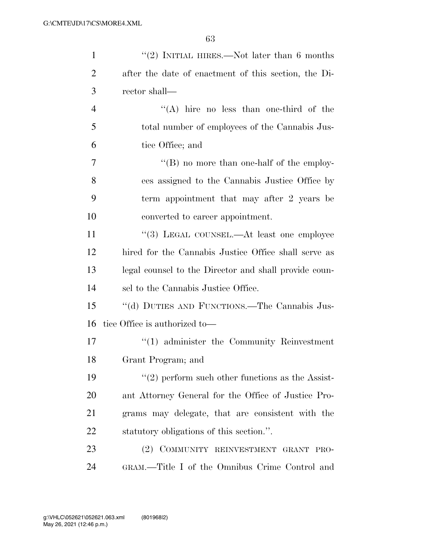| $\mathbf{1}$   | "(2) INITIAL HIRES.—Not later than $6$ months         |
|----------------|-------------------------------------------------------|
| $\overline{2}$ | after the date of enactment of this section, the Di-  |
| 3              | rector shall—                                         |
| $\overline{4}$ | "(A) hire no less than one-third of the               |
| 5              | total number of employees of the Cannabis Jus-        |
| 6              | tice Office; and                                      |
| 7              | $\lq\lq (B)$ no more than one-half of the employ-     |
| 8              | ees assigned to the Cannabis Justice Office by        |
| 9              | term appointment that may after 2 years be            |
| 10             | converted to career appointment.                      |
| 11             | "(3) LEGAL COUNSEL.—At least one employee             |
| 12             | hired for the Cannabis Justice Office shall serve as  |
| 13             | legal counsel to the Director and shall provide coun- |
| 14             | sel to the Cannabis Justice Office.                   |
| 15             | "(d) DUTIES AND FUNCTIONS.—The Cannabis Jus-          |
| 16             | tice Office is authorized to-                         |
| 17             | $\lq(1)$ administer the Community Reinvestment        |
| 18             | Grant Program; and                                    |
| 19             | $\lq(2)$ perform such other functions as the Assist-  |
| <b>20</b>      | ant Attorney General for the Office of Justice Pro-   |
| 21             | grams may delegate, that are consistent with the      |
| 22             | statutory obligations of this section.".              |
| 23             | (2) COMMUNITY REINVESTMENT GRANT<br>PRO-              |
| 24             | GRAM.—Title I of the Omnibus Crime Control and        |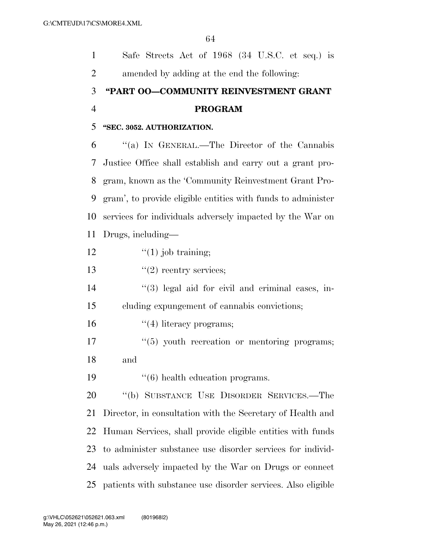Safe Streets Act of 1968 (34 U.S.C. et seq.) is amended by adding at the end the following: **''PART OO—COMMUNITY REINVESTMENT GRANT PROGRAM ''SEC. 3052. AUTHORIZATION.**  ''(a) IN GENERAL.—The Director of the Cannabis Justice Office shall establish and carry out a grant pro- gram, known as the 'Community Reinvestment Grant Pro- gram', to provide eligible entities with funds to administer services for individuals adversely impacted by the War on Drugs, including—  $\qquad$  ''(1) job training;  $"$ (2) reentry services; 14 ''(3) legal aid for civil and criminal cases, in- cluding expungement of cannabis convictions;  $\frac{16}{2}$   $\frac{16}{2}$  literacy programs;  $\frac{17}{17}$  ''(5) youth recreation or mentoring programs; and  $\frac{16}{6}$  health education programs. ''(b) SUBSTANCE USE DISORDER SERVICES.—The Director, in consultation with the Secretary of Health and Human Services, shall provide eligible entities with funds to administer substance use disorder services for individ- uals adversely impacted by the War on Drugs or connect patients with substance use disorder services. Also eligible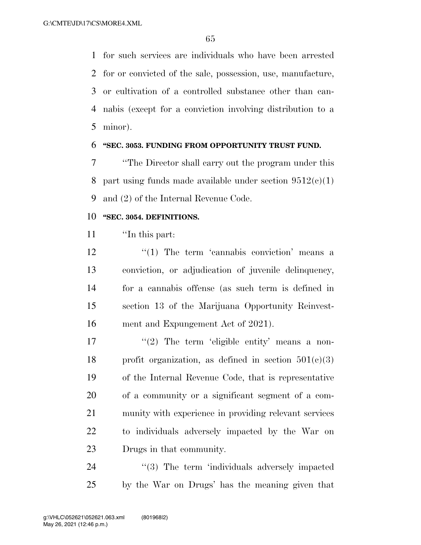for such services are individuals who have been arrested for or convicted of the sale, possession, use, manufacture, or cultivation of a controlled substance other than can- nabis (except for a conviction involving distribution to a minor).

#### **''SEC. 3053. FUNDING FROM OPPORTUNITY TRUST FUND.**

 ''The Director shall carry out the program under this 8 part using funds made available under section  $9512(c)(1)$ and (2) of the Internal Revenue Code.

#### **''SEC. 3054. DEFINITIONS.**

''In this part:

 $\frac{12}{12}$  ''(1) The term 'cannabis conviction' means a conviction, or adjudication of juvenile delinquency, for a cannabis offense (as such term is defined in section 13 of the Marijuana Opportunity Reinvest-ment and Expungement Act of 2021).

 $\frac{1}{2}$  The term 'eligible entity' means a non-18 profit organization, as defined in section  $501(e)(3)$  of the Internal Revenue Code, that is representative of a community or a significant segment of a com- munity with experience in providing relevant services to individuals adversely impacted by the War on Drugs in that community.

24 "(3) The term 'individuals adversely impacted by the War on Drugs' has the meaning given that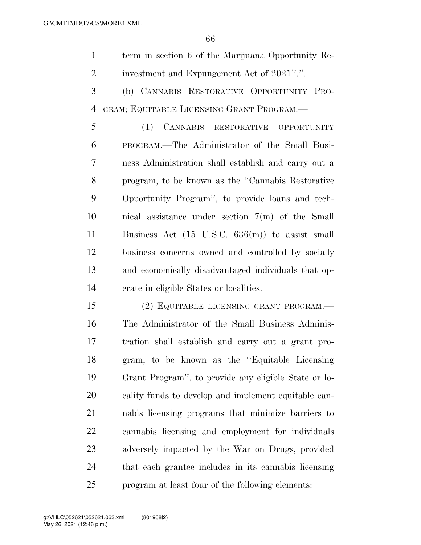term in section 6 of the Marijuana Opportunity Re-investment and Expungement Act of 2021''.''.

 (b) CANNABIS RESTORATIVE OPPORTUNITY PRO-GRAM; EQUITABLE LICENSING GRANT PROGRAM.—

 (1) CANNABIS RESTORATIVE OPPORTUNITY PROGRAM.—The Administrator of the Small Busi- ness Administration shall establish and carry out a program, to be known as the ''Cannabis Restorative Opportunity Program'', to provide loans and tech- nical assistance under section 7(m) of the Small Business Act (15 U.S.C. 636(m)) to assist small business concerns owned and controlled by socially and economically disadvantaged individuals that op-erate in eligible States or localities.

 (2) EQUITABLE LICENSING GRANT PROGRAM.— The Administrator of the Small Business Adminis- tration shall establish and carry out a grant pro- gram, to be known as the ''Equitable Licensing Grant Program'', to provide any eligible State or lo- cality funds to develop and implement equitable can- nabis licensing programs that minimize barriers to cannabis licensing and employment for individuals adversely impacted by the War on Drugs, provided that each grantee includes in its cannabis licensing program at least four of the following elements: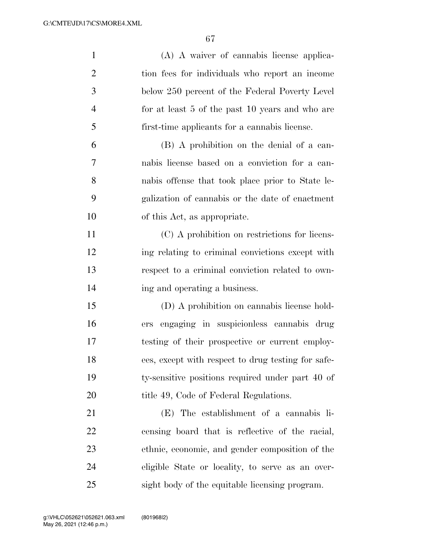| $\mathbf{1}$   | (A) A waiver of cannabis license applica-          |
|----------------|----------------------------------------------------|
| $\overline{2}$ | tion fees for individuals who report an income     |
| 3              | below 250 percent of the Federal Poverty Level     |
| $\overline{4}$ | for at least 5 of the past 10 years and who are    |
| 5              | first-time applicants for a cannabis license.      |
| 6              | (B) A prohibition on the denial of a can-          |
| 7              | nabis license based on a conviction for a can-     |
| 8              | nabis offense that took place prior to State le-   |
| 9              | galization of cannabis or the date of enactment    |
| 10             | of this Act, as appropriate.                       |
| 11             | (C) A prohibition on restrictions for licens-      |
| 12             | ing relating to criminal convictions except with   |
| 13             | respect to a criminal conviction related to own-   |
| 14             | ing and operating a business.                      |
| 15             | (D) A prohibition on cannabis license hold-        |
| 16             | ers engaging in suspicionless cannabis drug        |
| 17             | testing of their prospective or current employ-    |
| 18             | ees, except with respect to drug testing for safe- |
| 19             | ty-sensitive positions required under part 40 of   |
| 20             | title 49, Code of Federal Regulations.             |
| 21             | (E) The establishment of a cannabis li-            |
| 22             | censing board that is reflective of the racial,    |
| 23             | ethnic, economic, and gender composition of the    |
| 24             | eligible State or locality, to serve as an over-   |
| 25             | sight body of the equitable licensing program.     |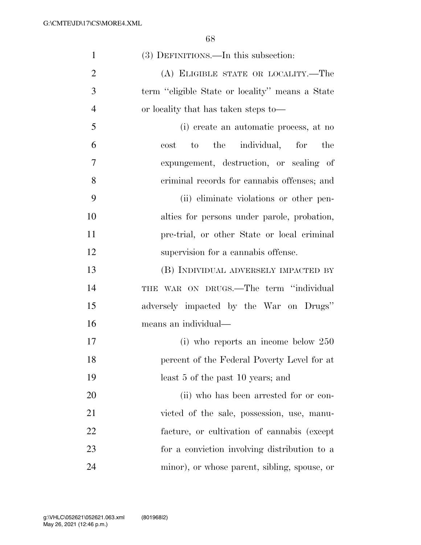| $\mathbf{1}$   | (3) DEFINITIONS.—In this subsection:            |
|----------------|-------------------------------------------------|
| $\overline{2}$ | (A) ELIGIBLE STATE OR LOCALITY.-The             |
| 3              | term "eligible State or locality" means a State |
| $\overline{4}$ | or locality that has taken steps to—            |
| 5              | (i) create an automatic process, at no          |
| 6              | the individual, for<br>the<br>to<br>cost        |
| 7              | expungement, destruction, or sealing of         |
| 8              | criminal records for cannabis offenses; and     |
| 9              | (ii) eliminate violations or other pen-         |
| 10             | alties for persons under parole, probation,     |
| 11             | pre-trial, or other State or local criminal     |
| 12             | supervision for a cannabis offense.             |
| 13             | (B) INDIVIDUAL ADVERSELY IMPACTED BY            |
| 14             | THE WAR ON DRUGS.—The term "individual          |
| 15             | adversely impacted by the War on Drugs"         |
| 16             | means an individual—                            |
| 17             | (i) who reports an income below $250$           |
| 18             | percent of the Federal Poverty Level for at     |
| 19             | least 5 of the past 10 years; and               |
| 20             | (ii) who has been arrested for or con-          |
| 21             | victed of the sale, possession, use, manu-      |
| 22             | facture, or cultivation of cannabis (except     |
| 23             | for a conviction involving distribution to a    |
| 24             | minor), or whose parent, sibling, spouse, or    |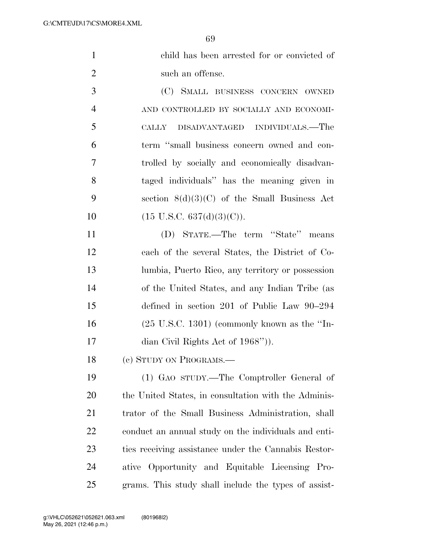|               | child has been arrested for or convicted of |
|---------------|---------------------------------------------|
|               | such an offense.                            |
| $\mathcal{R}$ | (C) SMALL BUSINESS CONCERN OWNED            |

 AND CONTROLLED BY SOCIALLY AND ECONOMI- CALLY DISADVANTAGED INDIVIDUALS.—The term ''small business concern owned and con- trolled by socially and economically disadvan- taged individuals'' has the meaning given in section 8(d)(3)(C) of the Small Business Act  $(15 \text{ U.S.C. } 637(\text{d})(3)(\text{C})).$ 

 (D) STATE.—The term ''State'' means each of the several States, the District of Co- lumbia, Puerto Rico, any territory or possession of the United States, and any Indian Tribe (as defined in section 201 of Public Law 90–294 (25 U.S.C. 1301) (commonly known as the ''In-17 dian Civil Rights Act of 1968'').

18 (c) STUDY ON PROGRAMS.—

 (1) GAO STUDY.—The Comptroller General of the United States, in consultation with the Adminis- trator of the Small Business Administration, shall conduct an annual study on the individuals and enti- ties receiving assistance under the Cannabis Restor- ative Opportunity and Equitable Licensing Pro-grams. This study shall include the types of assist-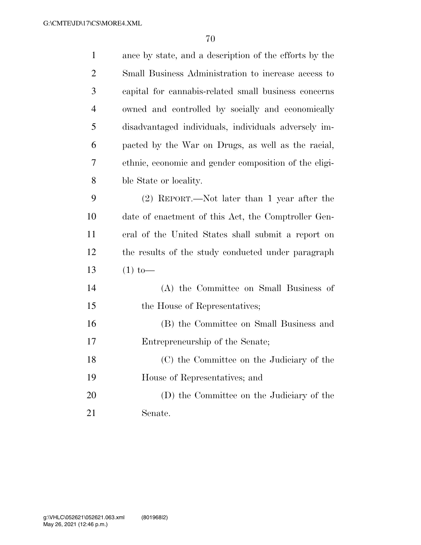| $\mathbf{1}$   | ance by state, and a description of the efforts by the |
|----------------|--------------------------------------------------------|
| $\overline{2}$ | Small Business Administration to increase access to    |
| 3              | capital for cannabis-related small business concerns   |
| $\overline{4}$ | owned and controlled by socially and economically      |
| 5              | disadvantaged individuals, individuals adversely im-   |
| 6              | pacted by the War on Drugs, as well as the racial,     |
| 7              | ethnic, economic and gender composition of the eligi-  |
| $8\,$          | ble State or locality.                                 |
| 9              | $(2)$ REPORT.—Not later than 1 year after the          |
| 10             | date of enactment of this Act, the Comptroller Gen-    |
| 11             | eral of the United States shall submit a report on     |
| 12             | the results of the study conducted under paragraph     |
| 13             | $(1)$ to —                                             |
| 14             | (A) the Committee on Small Business of                 |
| 15             | the House of Representatives;                          |
| 16             | (B) the Committee on Small Business and                |
| 17             | Entrepreneurship of the Senate;                        |
| 18             | (C) the Committee on the Judiciary of the              |
| 19             | House of Representatives; and                          |
| 20             | (D) the Committee on the Judiciary of the              |
| 21             | Senate.                                                |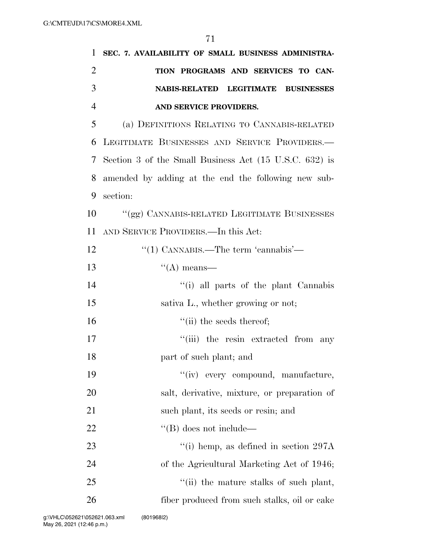| 1              | SEC. 7. AVAILABILITY OF SMALL BUSINESS ADMINISTRA-     |
|----------------|--------------------------------------------------------|
| 2              | TION PROGRAMS AND SERVICES TO CAN-                     |
| 3              | NABIS-RELATED LEGITIMATE BUSINESSES                    |
| $\overline{4}$ | AND SERVICE PROVIDERS.                                 |
| 5              | (a) DEFINITIONS RELATING TO CANNABIS-RELATED           |
| 6              | LEGITIMATE BUSINESSES AND SERVICE PROVIDERS.           |
| 7              | Section 3 of the Small Business Act (15 U.S.C. 632) is |
| 8              | amended by adding at the end the following new sub-    |
| 9              | section:                                               |
| 10             | "(gg) CANNABIS-RELATED LEGITIMATE BUSINESSES           |
| 11             | AND SERVICE PROVIDERS.—In this Act:                    |
| 12             | "(1) CANNABIS.—The term 'cannabis'—                    |
| 13             | $\lq\lq$ means—                                        |
| 14             | "(i) all parts of the plant Cannabis                   |
| 15             | sativa L., whether growing or not;                     |
| 16             | $``$ (ii) the seeds thereof;                           |
| 17             | "(iii) the resin extracted from any                    |
| 18             | part of such plant; and                                |
| 19             | "(iv) every compound, manufacture,                     |
| 20             | salt, derivative, mixture, or preparation of           |
| 21             | such plant, its seeds or resin; and                    |
| $22\,$         | $\lq\lq (B)$ does not include—                         |
| 23             | "(i) hemp, as defined in section $297A$                |
| 24             | of the Agricultural Marketing Act of 1946;             |
| 25             | "(ii) the mature stalks of such plant,                 |
| 26             | fiber produced from such stalks, oil or cake           |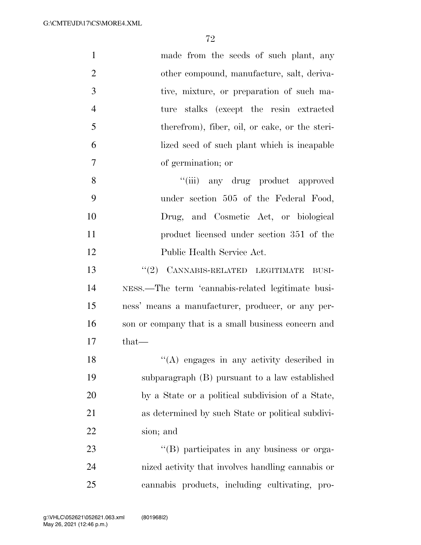| $\mathbf{1}$   | made from the seeds of such plant, any              |
|----------------|-----------------------------------------------------|
| $\overline{2}$ | other compound, manufacture, salt, deriva-          |
| 3              | tive, mixture, or preparation of such ma-           |
| $\overline{4}$ | ture stalks (except the resin extracted             |
| 5              | therefrom), fiber, oil, or cake, or the steri-      |
| 6              | lized seed of such plant which is incapable         |
| $\tau$         | of germination; or                                  |
| 8              | "(iii) any drug product approved                    |
| 9              | under section 505 of the Federal Food,              |
| 10             | Drug, and Cosmetic Act, or biological               |
| 11             | product licensed under section 351 of the           |
| 12             | Public Health Service Act.                          |
| 13             | "(2) CANNABIS-RELATED LEGITIMATE<br>BUSI-           |
| 14             | NESS.—The term 'cannabis-related legitimate busi-   |
| 15             | ness' means a manufacturer, producer, or any per-   |
| 16             | son or company that is a small business concern and |
| 17             | $that-$                                             |
| 18             | "(A) engages in any activity described in           |
| 19             | subparagraph (B) pursuant to a law established      |
| 20             | by a State or a political subdivision of a State,   |
| 21             | as determined by such State or political subdivi-   |
| 22             | sion; and                                           |
| 23             | "(B) participates in any business or orga-          |
| 24             | nized activity that involves handling cannabis or   |
| 25             | cannabis products, including cultivating, pro-      |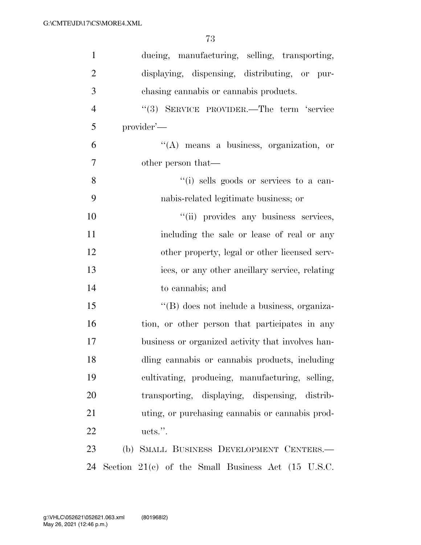| $\mathbf{1}$   | ducing, manufacturing, selling, transporting,                   |
|----------------|-----------------------------------------------------------------|
| $\overline{2}$ | displaying, dispensing, distributing, or pur-                   |
| 3              | chasing cannabis or cannabis products.                          |
| $\overline{4}$ | "(3) SERVICE PROVIDER.—The term 'service                        |
| 5              | provider'—                                                      |
| 6              | $\lq\lq$ means a business, organization, or                     |
| $\overline{7}$ | other person that—                                              |
| 8              | "(i) sells goods or services to a can-                          |
| 9              | nabis-related legitimate business; or                           |
| 10             | "(ii) provides any business services,                           |
| 11             | including the sale or lease of real or any                      |
| 12             | other property, legal or other licensed serv-                   |
| 13             | ices, or any other ancillary service, relating                  |
| 14             | to cannabis; and                                                |
| 15             | "(B) does not include a business, organiza-                     |
| 16             | tion, or other person that participates in any                  |
| 17             | business or organized activity that involves han-               |
| 18             | dling cannabis or cannabis products, including                  |
| 19             | cultivating, producing, manufacturing, selling,                 |
| 20             | transporting, displaying, dispensing, distrib-                  |
| 21             | uting, or purchasing cannabis or cannabis prod-                 |
| 22             | ucts.".                                                         |
| 23             | (b) SMALL BUSINESS DEVELOPMENT CENTERS.-                        |
| 24             | Section $21(e)$ of the Small Business Act $(15 \text{ U.S.C.})$ |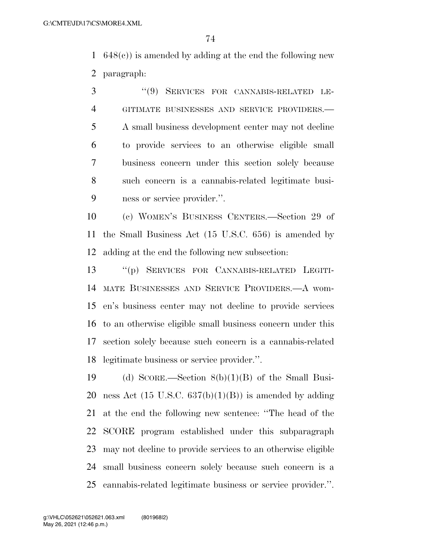648(c)) is amended by adding at the end the following new paragraph:

 ''(9) SERVICES FOR CANNABIS-RELATED LE- GITIMATE BUSINESSES AND SERVICE PROVIDERS.— A small business development center may not decline to provide services to an otherwise eligible small business concern under this section solely because such concern is a cannabis-related legitimate busi-ness or service provider.''.

 (c) WOMEN'S BUSINESS CENTERS.—Section 29 of the Small Business Act (15 U.S.C. 656) is amended by adding at the end the following new subsection:

 ''(p) SERVICES FOR CANNABIS-RELATED LEGITI- MATE BUSINESSES AND SERVICE PROVIDERS.—A wom- en's business center may not decline to provide services to an otherwise eligible small business concern under this section solely because such concern is a cannabis-related legitimate business or service provider.''.

19 (d) SCORE.—Section  $8(b)(1)(B)$  of the Small Busi-20 ness Act  $(15 \text{ U.S.C. } 637(b)(1)(B))$  is amended by adding at the end the following new sentence: ''The head of the SCORE program established under this subparagraph may not decline to provide services to an otherwise eligible small business concern solely because such concern is a cannabis-related legitimate business or service provider.''.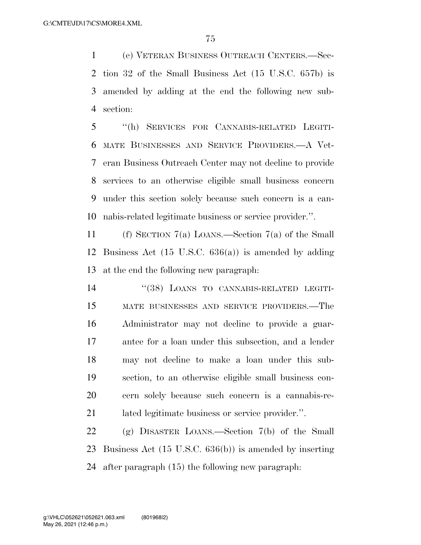(e) VETERAN BUSINESS OUTREACH CENTERS.—Sec- tion 32 of the Small Business Act (15 U.S.C. 657b) is amended by adding at the end the following new sub-section:

 ''(h) SERVICES FOR CANNABIS-RELATED LEGITI- MATE BUSINESSES AND SERVICE PROVIDERS.—A Vet- eran Business Outreach Center may not decline to provide services to an otherwise eligible small business concern under this section solely because such concern is a can-nabis-related legitimate business or service provider.''.

 (f) SECTION 7(a) LOANS.—Section 7(a) of the Small Business Act (15 U.S.C. 636(a)) is amended by adding at the end the following new paragraph:

 ''(38) LOANS TO CANNABIS-RELATED LEGITI- MATE BUSINESSES AND SERVICE PROVIDERS.—The Administrator may not decline to provide a guar- antee for a loan under this subsection, and a lender may not decline to make a loan under this sub- section, to an otherwise eligible small business con- cern solely because such concern is a cannabis-re-lated legitimate business or service provider.''.

 (g) DISASTER LOANS.—Section 7(b) of the Small Business Act (15 U.S.C. 636(b)) is amended by inserting after paragraph (15) the following new paragraph: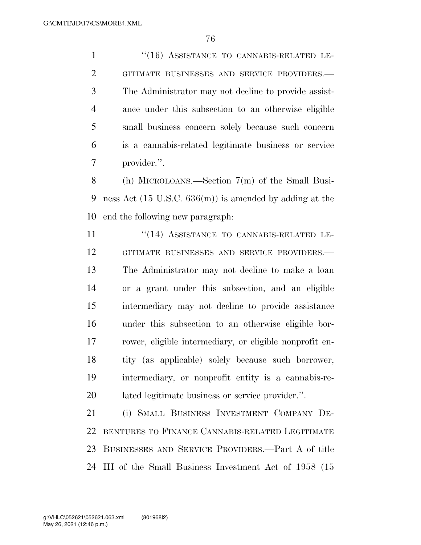1 "(16) ASSISTANCE TO CANNABIS-RELATED LE- GITIMATE BUSINESSES AND SERVICE PROVIDERS.— The Administrator may not decline to provide assist- ance under this subsection to an otherwise eligible small business concern solely because such concern is a cannabis-related legitimate business or service provider.''.

 (h) MICROLOANS.—Section 7(m) of the Small Busi- ness Act (15 U.S.C. 636(m)) is amended by adding at the end the following new paragraph:

11 "(14) ASSISTANCE TO CANNABIS-RELATED LE- GITIMATE BUSINESSES AND SERVICE PROVIDERS.— The Administrator may not decline to make a loan or a grant under this subsection, and an eligible intermediary may not decline to provide assistance under this subsection to an otherwise eligible bor- rower, eligible intermediary, or eligible nonprofit en- tity (as applicable) solely because such borrower, intermediary, or nonprofit entity is a cannabis-re-lated legitimate business or service provider.''.

 (i) SMALL BUSINESS INVESTMENT COMPANY DE- BENTURES TO FINANCE CANNABIS-RELATED LEGITIMATE BUSINESSES AND SERVICE PROVIDERS.—Part A of title III of the Small Business Investment Act of 1958 (15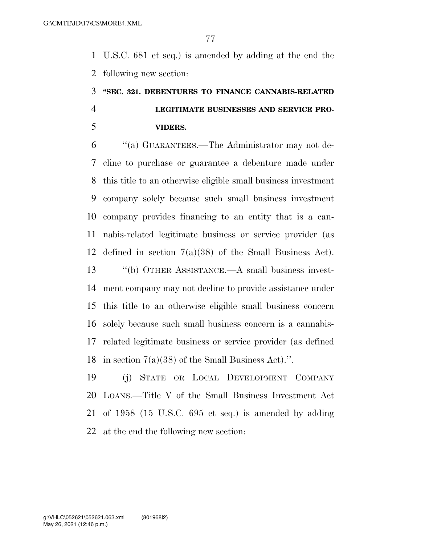U.S.C. 681 et seq.) is amended by adding at the end the following new section:

# **''SEC. 321. DEBENTURES TO FINANCE CANNABIS-RELATED LEGITIMATE BUSINESSES AND SERVICE PRO-VIDERS.**

 ''(a) GUARANTEES.—The Administrator may not de- cline to purchase or guarantee a debenture made under this title to an otherwise eligible small business investment company solely because such small business investment company provides financing to an entity that is a can- nabis-related legitimate business or service provider (as defined in section 7(a)(38) of the Small Business Act). ''(b) OTHER ASSISTANCE.—A small business invest- ment company may not decline to provide assistance under this title to an otherwise eligible small business concern solely because such small business concern is a cannabis- related legitimate business or service provider (as defined in section 7(a)(38) of the Small Business Act).''.

 (j) STATE OR LOCAL DEVELOPMENT COMPANY LOANS.—Title V of the Small Business Investment Act of 1958 (15 U.S.C. 695 et seq.) is amended by adding at the end the following new section: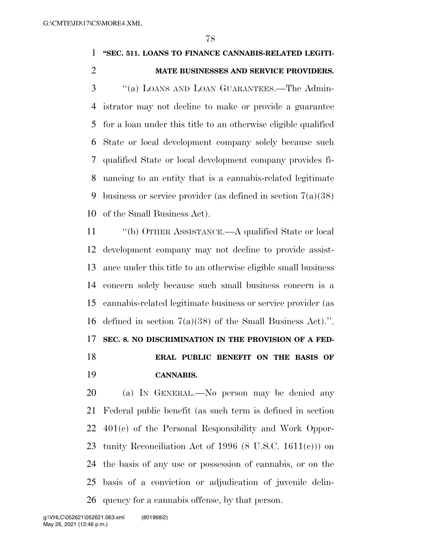### **''SEC. 511. LOANS TO FINANCE CANNABIS-RELATED LEGITI-**

### **MATE BUSINESSES AND SERVICE PROVIDERS.**

 ''(a) LOANS AND LOAN GUARANTEES.—The Admin- istrator may not decline to make or provide a guarantee for a loan under this title to an otherwise eligible qualified State or local development company solely because such qualified State or local development company provides fi- nancing to an entity that is a cannabis-related legitimate business or service provider (as defined in section 7(a)(38) of the Small Business Act).

 ''(b) OTHER ASSISTANCE.—A qualified State or local development company may not decline to provide assist- ance under this title to an otherwise eligible small business concern solely because such small business concern is a cannabis-related legitimate business or service provider (as defined in section 7(a)(38) of the Small Business Act).''. **SEC. 8. NO DISCRIMINATION IN THE PROVISION OF A FED- ERAL PUBLIC BENEFIT ON THE BASIS OF CANNABIS.** 

 (a) IN GENERAL.—No person may be denied any Federal public benefit (as such term is defined in section 401(c) of the Personal Responsibility and Work Oppor- tunity Reconciliation Act of 1996 (8 U.S.C. 1611(c))) on the basis of any use or possession of cannabis, or on the basis of a conviction or adjudication of juvenile delin-quency for a cannabis offense, by that person.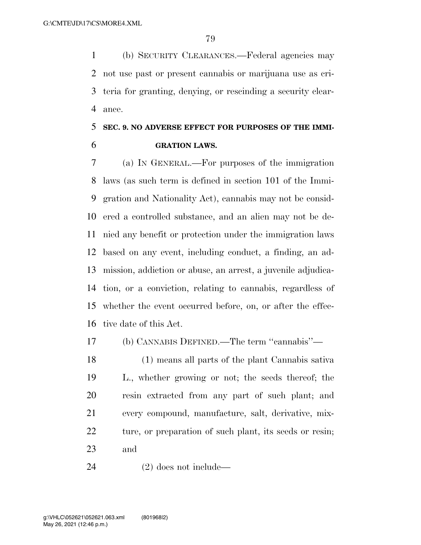(b) SECURITY CLEARANCES.—Federal agencies may not use past or present cannabis or marijuana use as cri- teria for granting, denying, or rescinding a security clear-ance.

# **SEC. 9. NO ADVERSE EFFECT FOR PURPOSES OF THE IMMI-GRATION LAWS.**

 (a) IN GENERAL.—For purposes of the immigration laws (as such term is defined in section 101 of the Immi- gration and Nationality Act), cannabis may not be consid- ered a controlled substance, and an alien may not be de- nied any benefit or protection under the immigration laws based on any event, including conduct, a finding, an ad- mission, addiction or abuse, an arrest, a juvenile adjudica- tion, or a conviction, relating to cannabis, regardless of whether the event occurred before, on, or after the effec-tive date of this Act.

(b) CANNABIS DEFINED.—The term ''cannabis''—

 (1) means all parts of the plant Cannabis sativa L., whether growing or not; the seeds thereof; the resin extracted from any part of such plant; and every compound, manufacture, salt, derivative, mix-22 ture, or preparation of such plant, its seeds or resin; and

(2) does not include—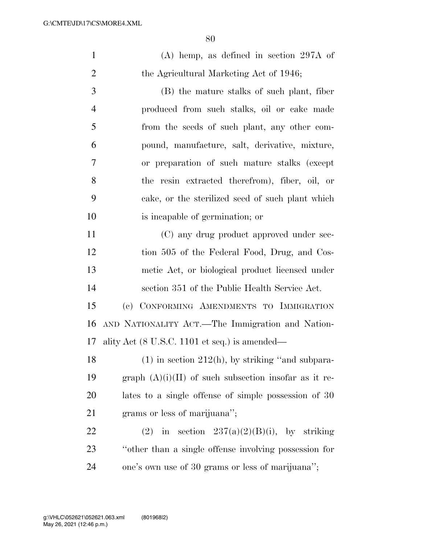| $\mathbf{1}$   | $(A)$ hemp, as defined in section 297A of                        |
|----------------|------------------------------------------------------------------|
| $\overline{2}$ | the Agricultural Marketing Act of 1946;                          |
| 3              | (B) the mature stalks of such plant, fiber                       |
| $\overline{4}$ | produced from such stalks, oil or cake made                      |
| 5              | from the seeds of such plant, any other com-                     |
| 6              | pound, manufacture, salt, derivative, mixture,                   |
| $\overline{7}$ | or preparation of such mature stalks (except                     |
| 8              | the resin extracted therefrom), fiber, oil, or                   |
| 9              | cake, or the sterilized seed of such plant which                 |
| 10             | is incapable of germination; or                                  |
| 11             | (C) any drug product approved under sec-                         |
| 12             | tion 505 of the Federal Food, Drug, and Cos-                     |
| 13             | metic Act, or biological product licensed under                  |
| 14             | section 351 of the Public Health Service Act.                    |
| 15             | (c) CONFORMING AMENDMENTS TO IMMIGRATION                         |
| 16             | AND NATIONALITY ACT.—The Immigration and Nation-                 |
| 17             | ality Act $(8 \text{ U.S.C. } 1101 \text{ et seq.})$ is amended— |
| 18             | $(1)$ in section 212(h), by striking "and subpara-               |
| 19             | graph $(A)(i)(II)$ of such subsection insofar as it re-          |
| 20             | lates to a single offense of simple possession of 30             |
| 21             | grams or less of marijuana";                                     |
| 22             | (2) in section $237(a)(2)(B)(i)$ , by striking                   |
| 23             | "other than a single offense involving possession for            |
| 24             | one's own use of 30 grams or less of marijuana";                 |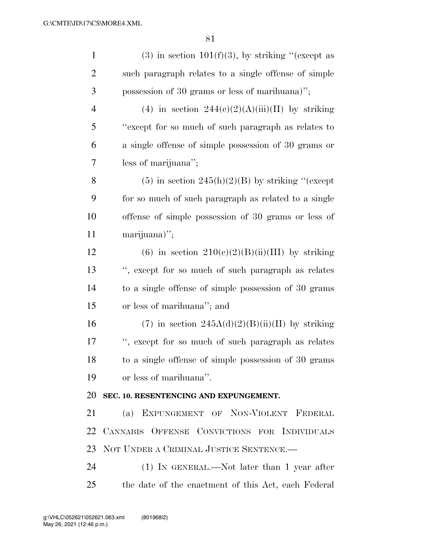| $\mathbf{1}$   | $(3)$ in section 101(f)(3), by striking "(except as  |
|----------------|------------------------------------------------------|
| $\overline{2}$ | such paragraph relates to a single offense of simple |
| 3              | possession of 30 grams or less of marihuana)";       |
| $\overline{4}$ | (4) in section $244(e)(2)(A)(iii)(II)$ by striking   |
| 5              | "except for so much of such paragraph as relates to  |
| 6              | a single offense of simple possession of 30 grams or |
| 7              | less of marijuana";                                  |
| 8              | $(5)$ in section 245(h)(2)(B) by striking "(except   |
| 9              | for so much of such paragraph as related to a single |
| 10             | offense of simple possession of 30 grams or less of  |
| 11             | marijuana)";                                         |
| 12             | (6) in section $210(e)(2)(B)(ii)(III)$ by striking   |
| 13             | ", except for so much of such paragraph as relates   |
| 14             | to a single offense of simple possession of 30 grams |
| 15             | or less of marihuana"; and                           |
| 16             | (7) in section $245A(d)(2)(B(iii))(II)$ by striking  |
| $17\,$         | ", except for so much of such paragraph as relates   |
| 18             | to a single offense of simple possession of 30 grams |
| 19             | or less of marihuana".                               |
| 20             | SEC. 10. RESENTENCING AND EXPUNGEMENT.               |
| 21             | (a) EXPUNGEMENT OF NON-VIOLENT FEDERAL               |
| 22             | CANNABIS OFFENSE CONVICTIONS FOR INDIVIDUALS         |
| 23             | NOT UNDER A CRIMINAL JUSTICE SENTENCE.               |
| 24             | (1) IN GENERAL.—Not later than 1 year after          |
| 25             | the date of the enactment of this Act, each Federal  |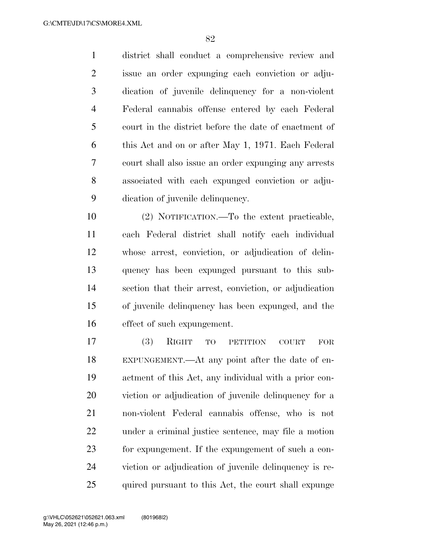district shall conduct a comprehensive review and issue an order expunging each conviction or adju- dication of juvenile delinquency for a non-violent Federal cannabis offense entered by each Federal court in the district before the date of enactment of this Act and on or after May 1, 1971. Each Federal court shall also issue an order expunging any arrests associated with each expunged conviction or adju-dication of juvenile delinquency.

 (2) NOTIFICATION.—To the extent practicable, each Federal district shall notify each individual whose arrest, conviction, or adjudication of delin- quency has been expunged pursuant to this sub- section that their arrest, conviction, or adjudication of juvenile delinquency has been expunged, and the effect of such expungement.

 (3) RIGHT TO PETITION COURT FOR EXPUNGEMENT.—At any point after the date of en- actment of this Act, any individual with a prior con- viction or adjudication of juvenile delinquency for a non-violent Federal cannabis offense, who is not under a criminal justice sentence, may file a motion for expungement. If the expungement of such a con- viction or adjudication of juvenile delinquency is re-quired pursuant to this Act, the court shall expunge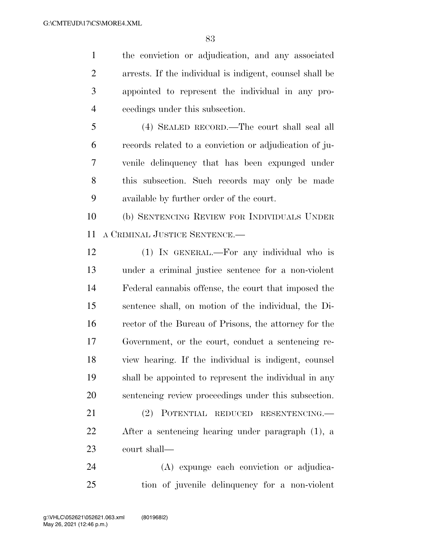the conviction or adjudication, and any associated arrests. If the individual is indigent, counsel shall be appointed to represent the individual in any pro-ceedings under this subsection.

 (4) SEALED RECORD.—The court shall seal all records related to a conviction or adjudication of ju- venile delinquency that has been expunged under this subsection. Such records may only be made available by further order of the court.

 (b) SENTENCING REVIEW FOR INDIVIDUALS UNDER A CRIMINAL JUSTICE SENTENCE.—

 (1) IN GENERAL.—For any individual who is under a criminal justice sentence for a non-violent Federal cannabis offense, the court that imposed the sentence shall, on motion of the individual, the Di- rector of the Bureau of Prisons, the attorney for the Government, or the court, conduct a sentencing re- view hearing. If the individual is indigent, counsel shall be appointed to represent the individual in any sentencing review proceedings under this subsection.

 (2) POTENTIAL REDUCED RESENTENCING.— After a sentencing hearing under paragraph (1), a court shall—

 (A) expunge each conviction or adjudica-tion of juvenile delinquency for a non-violent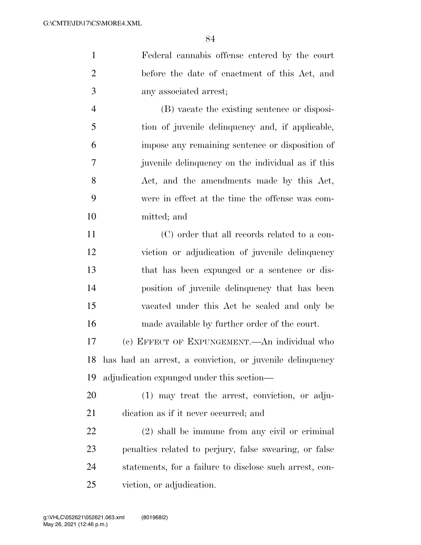Federal cannabis offense entered by the court before the date of enactment of this Act, and any associated arrest; (B) vacate the existing sentence or disposi- tion of juvenile delinquency and, if applicable, impose any remaining sentence or disposition of

 juvenile delinquency on the individual as if this 8 Act, and the amendments made by this Act, were in effect at the time the offense was com-mitted; and

 (C) order that all records related to a con- viction or adjudication of juvenile delinquency that has been expunged or a sentence or dis- position of juvenile delinquency that has been vacated under this Act be sealed and only be made available by further order of the court.

 (c) EFFECT OF EXPUNGEMENT.—An individual who has had an arrest, a conviction, or juvenile delinquency adjudication expunged under this section—

 (1) may treat the arrest, conviction, or adju-dication as if it never occurred; and

 (2) shall be immune from any civil or criminal penalties related to perjury, false swearing, or false statements, for a failure to disclose such arrest, con-viction, or adjudication.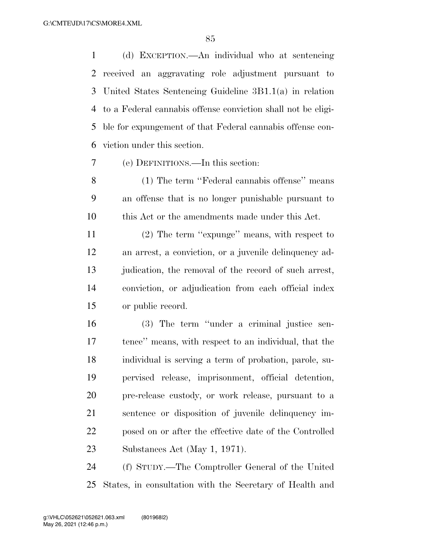(d) EXCEPTION.—An individual who at sentencing received an aggravating role adjustment pursuant to United States Sentencing Guideline 3B1.1(a) in relation to a Federal cannabis offense conviction shall not be eligi- ble for expungement of that Federal cannabis offense con-viction under this section.

(e) DEFINITIONS.—In this section:

 (1) The term ''Federal cannabis offense'' means an offense that is no longer punishable pursuant to this Act or the amendments made under this Act.

 (2) The term ''expunge'' means, with respect to an arrest, a conviction, or a juvenile delinquency ad-13 judication, the removal of the record of such arrest, conviction, or adjudication from each official index or public record.

 (3) The term ''under a criminal justice sen- tence'' means, with respect to an individual, that the individual is serving a term of probation, parole, su- pervised release, imprisonment, official detention, pre-release custody, or work release, pursuant to a sentence or disposition of juvenile delinquency im- posed on or after the effective date of the Controlled Substances Act (May 1, 1971).

 (f) STUDY.—The Comptroller General of the United States, in consultation with the Secretary of Health and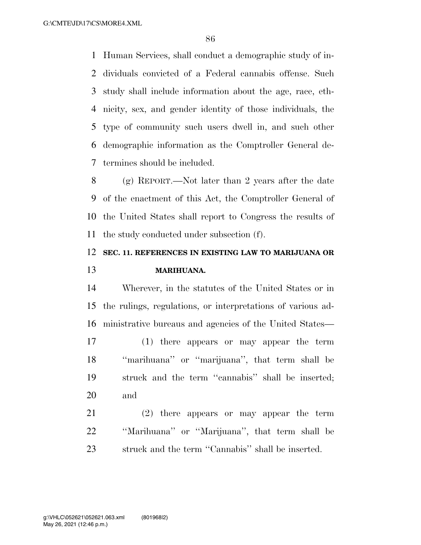Human Services, shall conduct a demographic study of in- dividuals convicted of a Federal cannabis offense. Such study shall include information about the age, race, eth- nicity, sex, and gender identity of those individuals, the type of community such users dwell in, and such other demographic information as the Comptroller General de-termines should be included.

 (g) REPORT.—Not later than 2 years after the date of the enactment of this Act, the Comptroller General of the United States shall report to Congress the results of the study conducted under subsection (f).

### **SEC. 11. REFERENCES IN EXISTING LAW TO MARIJUANA OR MARIHUANA.**

 Wherever, in the statutes of the United States or in the rulings, regulations, or interpretations of various ad-ministrative bureaus and agencies of the United States—

 (1) there appears or may appear the term ''marihuana'' or ''marijuana'', that term shall be struck and the term ''cannabis'' shall be inserted; and

 (2) there appears or may appear the term ''Marihuana'' or ''Marijuana'', that term shall be struck and the term ''Cannabis'' shall be inserted.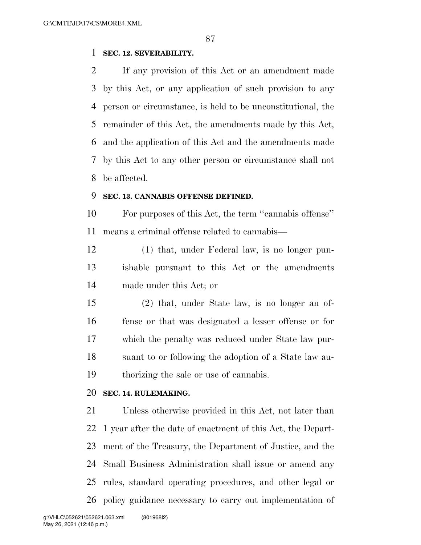### **SEC. 12. SEVERABILITY.**

 If any provision of this Act or an amendment made by this Act, or any application of such provision to any person or circumstance, is held to be unconstitutional, the remainder of this Act, the amendments made by this Act, and the application of this Act and the amendments made by this Act to any other person or circumstance shall not be affected.

#### **SEC. 13. CANNABIS OFFENSE DEFINED.**

 For purposes of this Act, the term ''cannabis offense'' means a criminal offense related to cannabis—

 (1) that, under Federal law, is no longer pun- ishable pursuant to this Act or the amendments made under this Act; or

 (2) that, under State law, is no longer an of- fense or that was designated a lesser offense or for which the penalty was reduced under State law pur- suant to or following the adoption of a State law au-thorizing the sale or use of cannabis.

#### **SEC. 14. RULEMAKING.**

 Unless otherwise provided in this Act, not later than 1 year after the date of enactment of this Act, the Depart- ment of the Treasury, the Department of Justice, and the Small Business Administration shall issue or amend any rules, standard operating procedures, and other legal or policy guidance necessary to carry out implementation of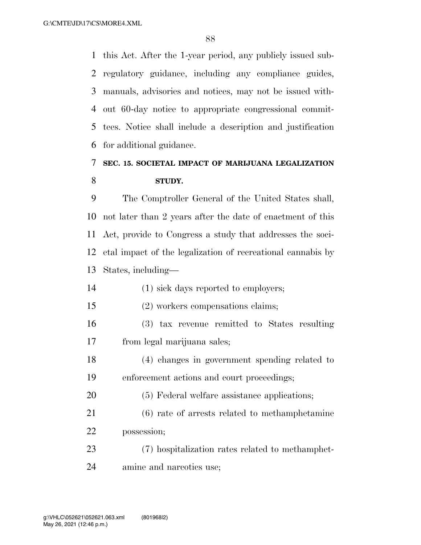this Act. After the 1-year period, any publicly issued sub- regulatory guidance, including any compliance guides, manuals, advisories and notices, may not be issued with- out 60-day notice to appropriate congressional commit- tees. Notice shall include a description and justification for additional guidance.

## **SEC. 15. SOCIETAL IMPACT OF MARIJUANA LEGALIZATION STUDY.**

 The Comptroller General of the United States shall, not later than 2 years after the date of enactment of this Act, provide to Congress a study that addresses the soci- etal impact of the legalization of recreational cannabis by States, including—

- (1) sick days reported to employers;
- (2) workers compensations claims;
- (3) tax revenue remitted to States resulting from legal marijuana sales;
- (4) changes in government spending related to enforcement actions and court proceedings;
- (5) Federal welfare assistance applications;
- (6) rate of arrests related to methamphetamine possession;
- (7) hospitalization rates related to methamphet-amine and narcotics use;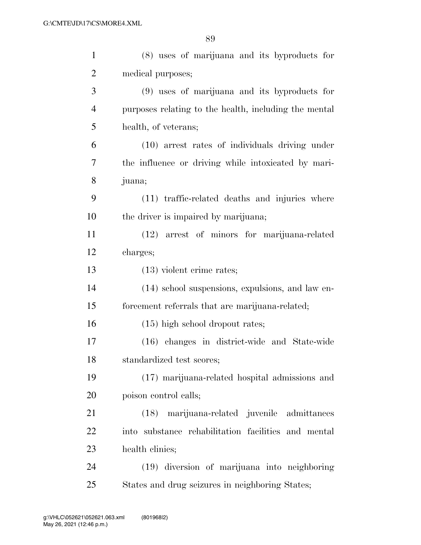| $\mathbf{1}$   | (8) uses of marijuana and its byproducts for          |
|----------------|-------------------------------------------------------|
| $\overline{2}$ | medical purposes;                                     |
| 3              | (9) uses of marijuana and its byproducts for          |
| $\overline{4}$ | purposes relating to the health, including the mental |
| 5              | health, of veterans;                                  |
| 6              | (10) arrest rates of individuals driving under        |
| 7              | the influence or driving while intoxicated by mari-   |
| 8              | juana;                                                |
| 9              | (11) traffic-related deaths and injuries where        |
| 10             | the driver is impaired by marijuana;                  |
| 11             | (12) arrest of minors for marijuana-related           |
| 12             | charges;                                              |
| 13             | $(13)$ violent crime rates;                           |
| 14             | (14) school suspensions, expulsions, and law en-      |
| 15             | forcement referrals that are marijuana-related;       |
| 16             | $(15)$ high school dropout rates;                     |
| 17             | (16) changes in district-wide and State-wide          |
| 18             | standardized test scores;                             |
| 19             | (17) marijuana-related hospital admissions and        |
| 20             | poison control calls;                                 |
| 21             | marijuana-related juvenile admittances<br>(18)        |
| 22             | into substance rehabilitation facilities and mental   |
| 23             | health clinics;                                       |
| 24             | (19) diversion of marijuana into neighboring          |
| 25             | States and drug seizures in neighboring States;       |